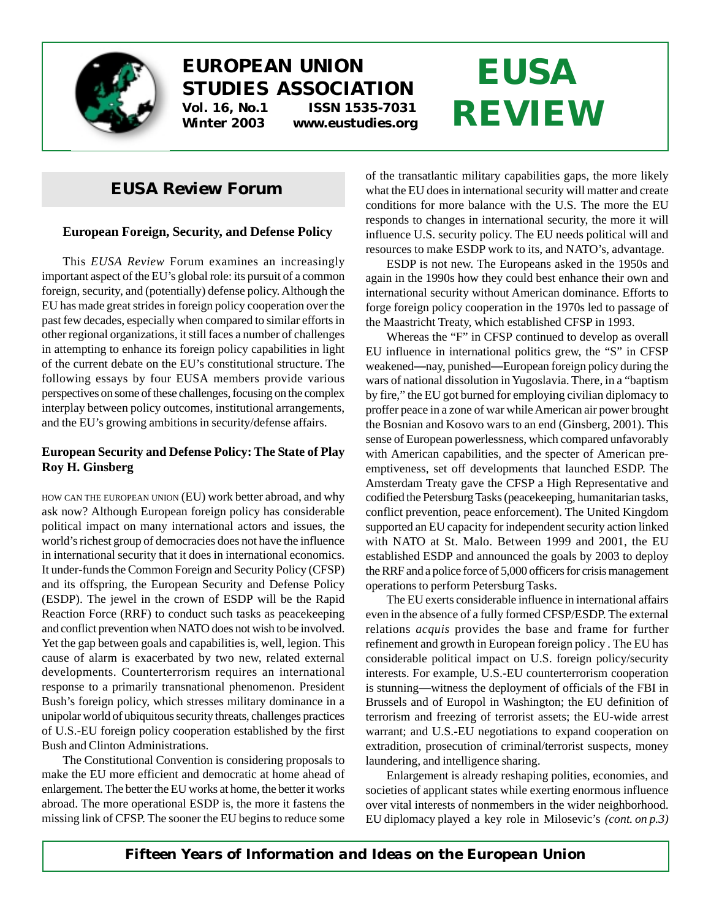

# **EUROPEAN UNION STUDIES ASSOCIATION Vol. 16, No.1 ISSN 1535-7031**

**Winter 2003 www.eustudies.org**

# **EUSA REVIEW**

## *EUSA Review* **Forum**

#### **European Foreign, Security, and Defense Policy**

This *EUSA Review* Forum examines an increasingly important aspect of the EU's global role: its pursuit of a common foreign, security, and (potentially) defense policy. Although the EU has made great strides in foreign policy cooperation over the past few decades, especially when compared to similar efforts in other regional organizations, it still faces a number of challenges in attempting to enhance its foreign policy capabilities in light of the current debate on the EU's constitutional structure. The following essays by four EUSA members provide various perspectives on some of these challenges, focusing on the complex interplay between policy outcomes, institutional arrangements, and the EU's growing ambitions in security/defense affairs.

### **European Security and Defense Policy: The State of Play Roy H. Ginsberg**

HOW CAN THE EUROPEAN UNION (EU) work better abroad, and why ask now? Although European foreign policy has considerable political impact on many international actors and issues, the world's richest group of democracies does not have the influence in international security that it does in international economics. It under-funds the Common Foreign and Security Policy (CFSP) and its offspring, the European Security and Defense Policy (ESDP). The jewel in the crown of ESDP will be the Rapid Reaction Force (RRF) to conduct such tasks as peacekeeping and conflict prevention when NATO does not wish to be involved. Yet the gap between goals and capabilities is, well, legion. This cause of alarm is exacerbated by two new, related external developments. Counterterrorism requires an international response to a primarily transnational phenomenon. President Bush's foreign policy, which stresses military dominance in a unipolar world of ubiquitous security threats, challenges practices of U.S.-EU foreign policy cooperation established by the first Bush and Clinton Administrations.

The Constitutional Convention is considering proposals to make the EU more efficient and democratic at home ahead of enlargement. The better the EU works at home, the better it works abroad. The more operational ESDP is, the more it fastens the missing link of CFSP. The sooner the EU begins to reduce some

of the transatlantic military capabilities gaps, the more likely what the EU does in international security will matter and create conditions for more balance with the U.S. The more the EU responds to changes in international security, the more it will influence U.S. security policy. The EU needs political will and resources to make ESDP work to its, and NATO's, advantage.

ESDP is not new. The Europeans asked in the 1950s and again in the 1990s how they could best enhance their own and international security without American dominance. Efforts to forge foreign policy cooperation in the 1970s led to passage of the Maastricht Treaty, which established CFSP in 1993.

Whereas the "F" in CFSP continued to develop as overall EU influence in international politics grew, the "S" in CFSP weakened—nay, punished—European foreign policy during the wars of national dissolution in Yugoslavia. There, in a "baptism by fire," the EU got burned for employing civilian diplomacy to proffer peace in a zone of war while American air power brought the Bosnian and Kosovo wars to an end (Ginsberg, 2001). This sense of European powerlessness, which compared unfavorably with American capabilities, and the specter of American preemptiveness, set off developments that launched ESDP. The Amsterdam Treaty gave the CFSP a High Representative and codified the Petersburg Tasks (peacekeeping, humanitarian tasks, conflict prevention, peace enforcement). The United Kingdom supported an EU capacity for independent security action linked with NATO at St. Malo. Between 1999 and 2001, the EU established ESDP and announced the goals by 2003 to deploy the RRF and a police force of 5,000 officers for crisis management operations to perform Petersburg Tasks.

The EU exerts considerable influence in international affairs even in the absence of a fully formed CFSP/ESDP. The external relations *acquis* provides the base and frame for further refinement and growth in European foreign policy . The EU has considerable political impact on U.S. foreign policy/security interests. For example, U.S.-EU counterterrorism cooperation is stunning—witness the deployment of officials of the FBI in Brussels and of Europol in Washington; the EU definition of terrorism and freezing of terrorist assets; the EU-wide arrest warrant; and U.S.-EU negotiations to expand cooperation on extradition, prosecution of criminal/terrorist suspects, money laundering, and intelligence sharing.

Enlargement is already reshaping polities, economies, and societies of applicant states while exerting enormous influence over vital interests of nonmembers in the wider neighborhood. EU diplomacy played a key role in Milosevic's *(cont. on p.3)*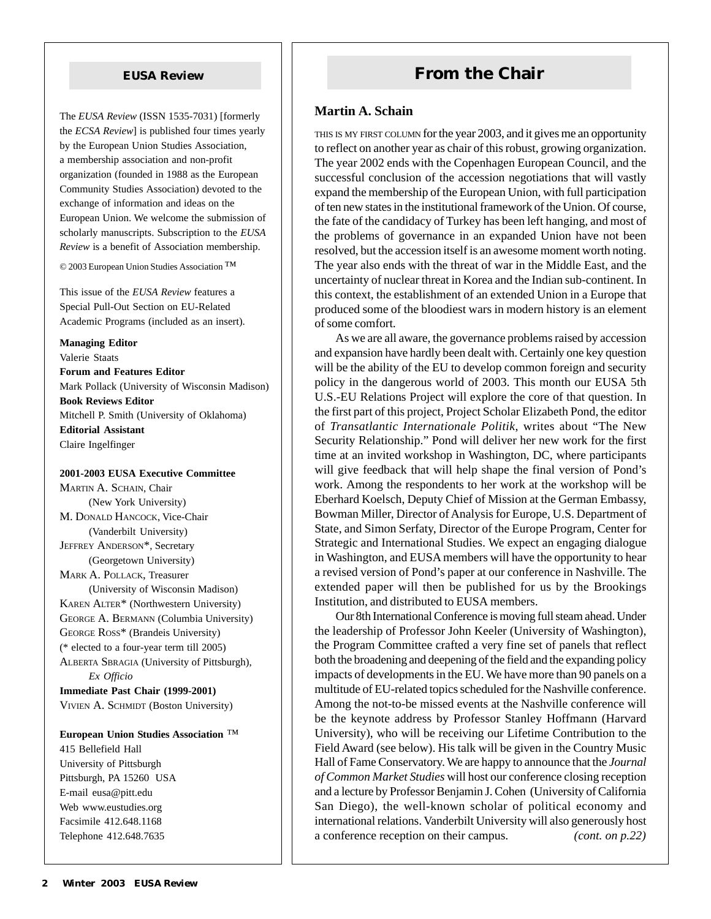The *EUSA Review* (ISSN 1535-7031) [formerly the *ECSA Review*] is published four times yearly by the European Union Studies Association, a membership association and non-profit organization (founded in 1988 as the European Community Studies Association) devoted to the exchange of information and ideas on the European Union. We welcome the submission of scholarly manuscripts. Subscription to the *EUSA Review* is a benefit of Association membership.

© 2003 European Union Studies Association ™

This issue of the *EUSA Review* features a Special Pull-Out Section on EU-Related Academic Programs (included as an insert).

**Managing Editor** Valerie Staats **Forum and Features Editor** Mark Pollack (University of Wisconsin Madison) **Book Reviews Editor** Mitchell P. Smith (University of Oklahoma) **Editorial Assistant** Claire Ingelfinger

#### **2001-2003 EUSA Executive Committee**

MARTIN A. SCHAIN, Chair (New York University) M. DONALD HANCOCK, Vice-Chair (Vanderbilt University) JEFFREY ANDERSON\*, Secretary (Georgetown University) MARK A. POLLACK, Treasurer (University of Wisconsin Madison) KAREN ALTER\* (Northwestern University) GEORGE A. BERMANN (Columbia University) GEORGE ROSS\* (Brandeis University) (\* elected to a four-year term till 2005) ALBERTA SBRAGIA (University of Pittsburgh), *Ex Officio* **Immediate Past Chair (1999-2001)**

VIVIEN A. SCHMIDT (Boston University)

**European Union Studies Association** ™ 415 Bellefield Hall University of Pittsburgh Pittsburgh, PA 15260 USA E-mail eusa@pitt.edu Web www.eustudies.org Facsimile 412.648.1168 Telephone 412.648.7635

### **EUSA Review <b>From the Chair**

#### **Martin A. Schain**

THIS IS MY FIRST COLUMN for the year 2003, and it gives me an opportunity to reflect on another year as chair of this robust, growing organization. The year 2002 ends with the Copenhagen European Council, and the successful conclusion of the accession negotiations that will vastly expand the membership of the European Union, with full participation of ten new states in the institutional framework of the Union. Of course, the fate of the candidacy of Turkey has been left hanging, and most of the problems of governance in an expanded Union have not been resolved, but the accession itself is an awesome moment worth noting. The year also ends with the threat of war in the Middle East, and the uncertainty of nuclear threat in Korea and the Indian sub-continent. In this context, the establishment of an extended Union in a Europe that produced some of the bloodiest wars in modern history is an element of some comfort.

As we are all aware, the governance problems raised by accession and expansion have hardly been dealt with. Certainly one key question will be the ability of the EU to develop common foreign and security policy in the dangerous world of 2003. This month our EUSA 5th U.S.-EU Relations Project will explore the core of that question. In the first part of this project, Project Scholar Elizabeth Pond, the editor of *Transatlantic Internationale Politik*, writes about "The New Security Relationship." Pond will deliver her new work for the first time at an invited workshop in Washington, DC, where participants will give feedback that will help shape the final version of Pond's work. Among the respondents to her work at the workshop will be Eberhard Koelsch, Deputy Chief of Mission at the German Embassy, Bowman Miller, Director of Analysis for Europe, U.S. Department of State, and Simon Serfaty, Director of the Europe Program, Center for Strategic and International Studies. We expect an engaging dialogue in Washington, and EUSA members will have the opportunity to hear a revised version of Pond's paper at our conference in Nashville. The extended paper will then be published for us by the Brookings Institution, and distributed to EUSA members.

Our 8th International Conference is moving full steam ahead. Under the leadership of Professor John Keeler (University of Washington), the Program Committee crafted a very fine set of panels that reflect both the broadening and deepening of the field and the expanding policy impacts of developments in the EU. We have more than 90 panels on a multitude of EU-related topics scheduled for the Nashville conference. Among the not-to-be missed events at the Nashville conference will be the keynote address by Professor Stanley Hoffmann (Harvard University), who will be receiving our Lifetime Contribution to the Field Award (see below). His talk will be given in the Country Music Hall of Fame Conservatory. We are happy to announce that the *Journal of Common Market Studies* will host our conference closing reception and a lecture by Professor Benjamin J. Cohen (University of California San Diego), the well-known scholar of political economy and international relations. Vanderbilt University will also generously host a conference reception on their campus. *(cont. on p.22)*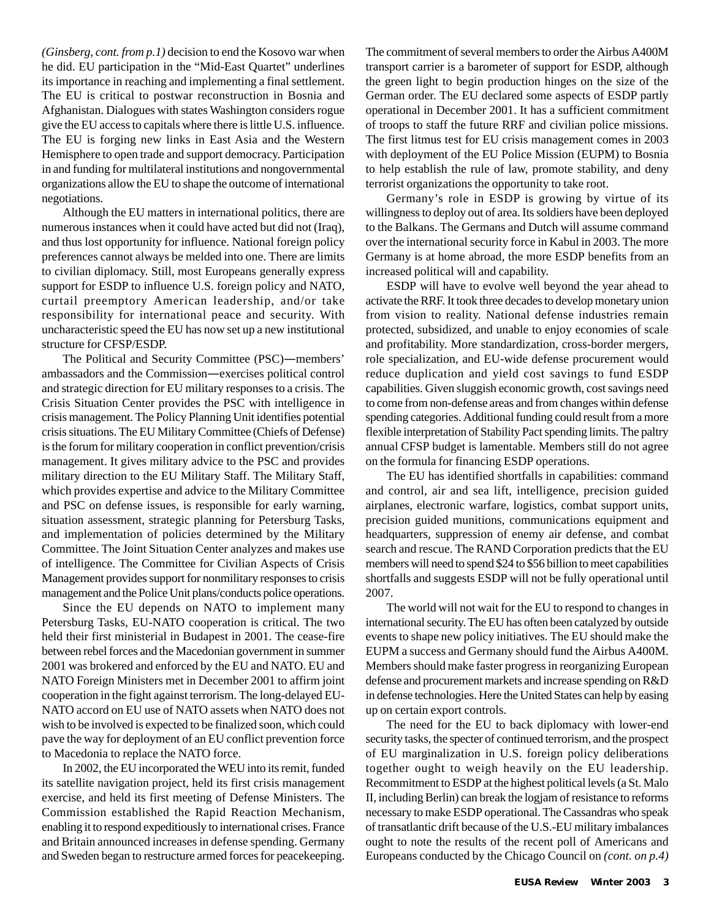*(Ginsberg, cont. from p.1)* decision to end the Kosovo war when he did. EU participation in the "Mid-East Quartet" underlines its importance in reaching and implementing a final settlement. The EU is critical to postwar reconstruction in Bosnia and Afghanistan. Dialogues with states Washington considers rogue give the EU access to capitals where there is little U.S. influence. The EU is forging new links in East Asia and the Western Hemisphere to open trade and support democracy. Participation in and funding for multilateral institutions and nongovernmental organizations allow the EU to shape the outcome of international negotiations.

Although the EU matters in international politics, there are numerous instances when it could have acted but did not (Iraq), and thus lost opportunity for influence. National foreign policy preferences cannot always be melded into one. There are limits to civilian diplomacy. Still, most Europeans generally express support for ESDP to influence U.S. foreign policy and NATO, curtail preemptory American leadership, and/or take responsibility for international peace and security. With uncharacteristic speed the EU has now set up a new institutional structure for CFSP/ESDP.

The Political and Security Committee (PSC)—members' ambassadors and the Commission—exercises political control and strategic direction for EU military responses to a crisis. The Crisis Situation Center provides the PSC with intelligence in crisis management. The Policy Planning Unit identifies potential crisis situations. The EU Military Committee (Chiefs of Defense) is the forum for military cooperation in conflict prevention/crisis management. It gives military advice to the PSC and provides military direction to the EU Military Staff. The Military Staff, which provides expertise and advice to the Military Committee and PSC on defense issues, is responsible for early warning, situation assessment, strategic planning for Petersburg Tasks, and implementation of policies determined by the Military Committee. The Joint Situation Center analyzes and makes use of intelligence. The Committee for Civilian Aspects of Crisis Management provides support for nonmilitary responses to crisis management and the Police Unit plans/conducts police operations.

Since the EU depends on NATO to implement many Petersburg Tasks, EU-NATO cooperation is critical. The two held their first ministerial in Budapest in 2001. The cease-fire between rebel forces and the Macedonian government in summer 2001 was brokered and enforced by the EU and NATO. EU and NATO Foreign Ministers met in December 2001 to affirm joint cooperation in the fight against terrorism. The long-delayed EU-NATO accord on EU use of NATO assets when NATO does not wish to be involved is expected to be finalized soon, which could pave the way for deployment of an EU conflict prevention force to Macedonia to replace the NATO force.

In 2002, the EU incorporated the WEU into its remit, funded its satellite navigation project, held its first crisis management exercise, and held its first meeting of Defense Ministers. The Commission established the Rapid Reaction Mechanism, enabling it to respond expeditiously to international crises. France and Britain announced increases in defense spending. Germany and Sweden began to restructure armed forces for peacekeeping. The commitment of several members to order the Airbus A400M transport carrier is a barometer of support for ESDP, although the green light to begin production hinges on the size of the German order. The EU declared some aspects of ESDP partly operational in December 2001. It has a sufficient commitment of troops to staff the future RRF and civilian police missions. The first litmus test for EU crisis management comes in 2003 with deployment of the EU Police Mission (EUPM) to Bosnia to help establish the rule of law, promote stability, and deny terrorist organizations the opportunity to take root.

Germany's role in ESDP is growing by virtue of its willingness to deploy out of area. Its soldiers have been deployed to the Balkans. The Germans and Dutch will assume command over the international security force in Kabul in 2003. The more Germany is at home abroad, the more ESDP benefits from an increased political will and capability.

ESDP will have to evolve well beyond the year ahead to activate the RRF. It took three decades to develop monetary union from vision to reality. National defense industries remain protected, subsidized, and unable to enjoy economies of scale and profitability. More standardization, cross-border mergers, role specialization, and EU-wide defense procurement would reduce duplication and yield cost savings to fund ESDP capabilities. Given sluggish economic growth, cost savings need to come from non-defense areas and from changes within defense spending categories. Additional funding could result from a more flexible interpretation of Stability Pact spending limits. The paltry annual CFSP budget is lamentable. Members still do not agree on the formula for financing ESDP operations.

The EU has identified shortfalls in capabilities: command and control, air and sea lift, intelligence, precision guided airplanes, electronic warfare, logistics, combat support units, precision guided munitions, communications equipment and headquarters, suppression of enemy air defense, and combat search and rescue. The RAND Corporation predicts that the EU members will need to spend \$24 to \$56 billion to meet capabilities shortfalls and suggests ESDP will not be fully operational until 2007.

The world will not wait for the EU to respond to changes in international security. The EU has often been catalyzed by outside events to shape new policy initiatives. The EU should make the EUPM a success and Germany should fund the Airbus A400M. Members should make faster progress in reorganizing European defense and procurement markets and increase spending on R&D in defense technologies. Here the United States can help by easing up on certain export controls.

The need for the EU to back diplomacy with lower-end security tasks, the specter of continued terrorism, and the prospect of EU marginalization in U.S. foreign policy deliberations together ought to weigh heavily on the EU leadership. Recommitment to ESDP at the highest political levels (a St. Malo II, including Berlin) can break the logjam of resistance to reforms necessary to make ESDP operational. The Cassandras who speak of transatlantic drift because of the U.S.-EU military imbalances ought to note the results of the recent poll of Americans and Europeans conducted by the Chicago Council on *(cont. on p.4)*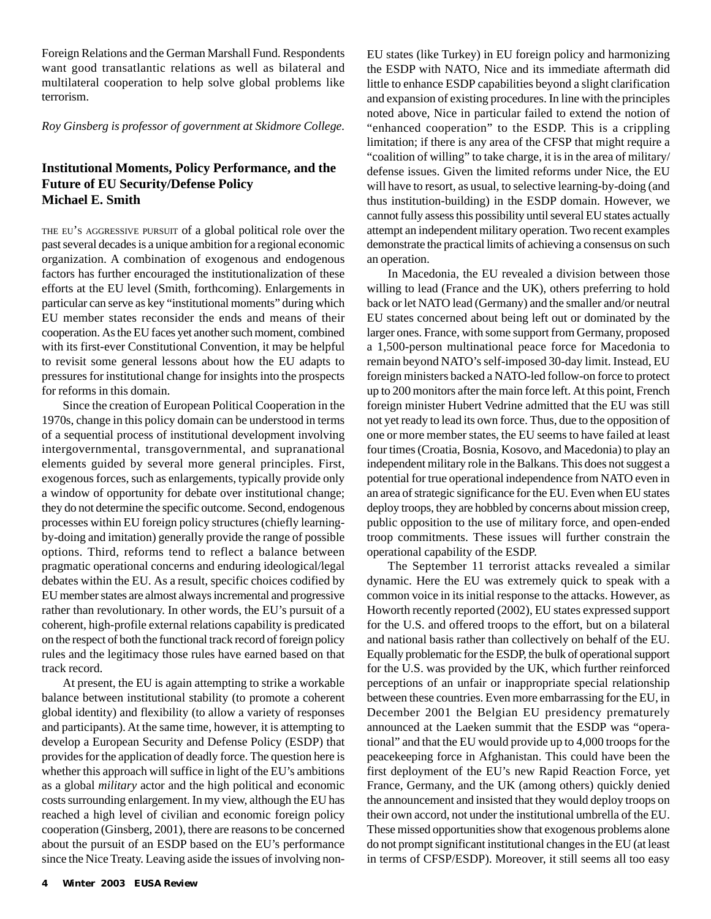Foreign Relations and the German Marshall Fund. Respondents want good transatlantic relations as well as bilateral and multilateral cooperation to help solve global problems like terrorism.

*Roy Ginsberg is professor of government at Skidmore College.*

#### **Institutional Moments, Policy Performance, and the Future of EU Security/Defense Policy Michael E. Smith**

THE EU'S AGGRESSIVE PURSUIT of a global political role over the past several decades is a unique ambition for a regional economic organization. A combination of exogenous and endogenous factors has further encouraged the institutionalization of these efforts at the EU level (Smith, forthcoming). Enlargements in particular can serve as key "institutional moments" during which EU member states reconsider the ends and means of their cooperation. As the EU faces yet another such moment, combined with its first-ever Constitutional Convention, it may be helpful to revisit some general lessons about how the EU adapts to pressures for institutional change for insights into the prospects for reforms in this domain.

Since the creation of European Political Cooperation in the 1970s, change in this policy domain can be understood in terms of a sequential process of institutional development involving intergovernmental, transgovernmental, and supranational elements guided by several more general principles. First, exogenous forces, such as enlargements, typically provide only a window of opportunity for debate over institutional change; they do not determine the specific outcome. Second, endogenous processes within EU foreign policy structures (chiefly learningby-doing and imitation) generally provide the range of possible options. Third, reforms tend to reflect a balance between pragmatic operational concerns and enduring ideological/legal debates within the EU. As a result, specific choices codified by EU member states are almost always incremental and progressive rather than revolutionary. In other words, the EU's pursuit of a coherent, high-profile external relations capability is predicated on the respect of both the functional track record of foreign policy rules and the legitimacy those rules have earned based on that track record.

At present, the EU is again attempting to strike a workable balance between institutional stability (to promote a coherent global identity) and flexibility (to allow a variety of responses and participants). At the same time, however, it is attempting to develop a European Security and Defense Policy (ESDP) that provides for the application of deadly force. The question here is whether this approach will suffice in light of the EU's ambitions as a global *military* actor and the high political and economic costs surrounding enlargement. In my view, although the EU has reached a high level of civilian and economic foreign policy cooperation (Ginsberg, 2001), there are reasons to be concerned about the pursuit of an ESDP based on the EU's performance since the Nice Treaty. Leaving aside the issues of involving nonEU states (like Turkey) in EU foreign policy and harmonizing the ESDP with NATO, Nice and its immediate aftermath did little to enhance ESDP capabilities beyond a slight clarification and expansion of existing procedures. In line with the principles noted above, Nice in particular failed to extend the notion of "enhanced cooperation" to the ESDP. This is a crippling limitation; if there is any area of the CFSP that might require a "coalition of willing" to take charge, it is in the area of military/ defense issues. Given the limited reforms under Nice, the EU will have to resort, as usual, to selective learning-by-doing (and thus institution-building) in the ESDP domain. However, we cannot fully assess this possibility until several EU states actually attempt an independent military operation. Two recent examples demonstrate the practical limits of achieving a consensus on such an operation.

In Macedonia, the EU revealed a division between those willing to lead (France and the UK), others preferring to hold back or let NATO lead (Germany) and the smaller and/or neutral EU states concerned about being left out or dominated by the larger ones. France, with some support from Germany, proposed a 1,500-person multinational peace force for Macedonia to remain beyond NATO's self-imposed 30-day limit. Instead, EU foreign ministers backed a NATO-led follow-on force to protect up to 200 monitors after the main force left. At this point, French foreign minister Hubert Vedrine admitted that the EU was still not yet ready to lead its own force. Thus, due to the opposition of one or more member states, the EU seems to have failed at least four times (Croatia, Bosnia, Kosovo, and Macedonia) to play an independent military role in the Balkans. This does not suggest a potential for true operational independence from NATO even in an area of strategic significance for the EU. Even when EU states deploy troops, they are hobbled by concerns about mission creep, public opposition to the use of military force, and open-ended troop commitments. These issues will further constrain the operational capability of the ESDP.

The September 11 terrorist attacks revealed a similar dynamic. Here the EU was extremely quick to speak with a common voice in its initial response to the attacks. However, as Howorth recently reported (2002), EU states expressed support for the U.S. and offered troops to the effort, but on a bilateral and national basis rather than collectively on behalf of the EU. Equally problematic for the ESDP, the bulk of operational support for the U.S. was provided by the UK, which further reinforced perceptions of an unfair or inappropriate special relationship between these countries. Even more embarrassing for the EU, in December 2001 the Belgian EU presidency prematurely announced at the Laeken summit that the ESDP was "operational" and that the EU would provide up to 4,000 troops for the peacekeeping force in Afghanistan. This could have been the first deployment of the EU's new Rapid Reaction Force, yet France, Germany, and the UK (among others) quickly denied the announcement and insisted that they would deploy troops on their own accord, not under the institutional umbrella of the EU. These missed opportunities show that exogenous problems alone do not prompt significant institutional changes in the EU (at least in terms of CFSP/ESDP). Moreover, it still seems all too easy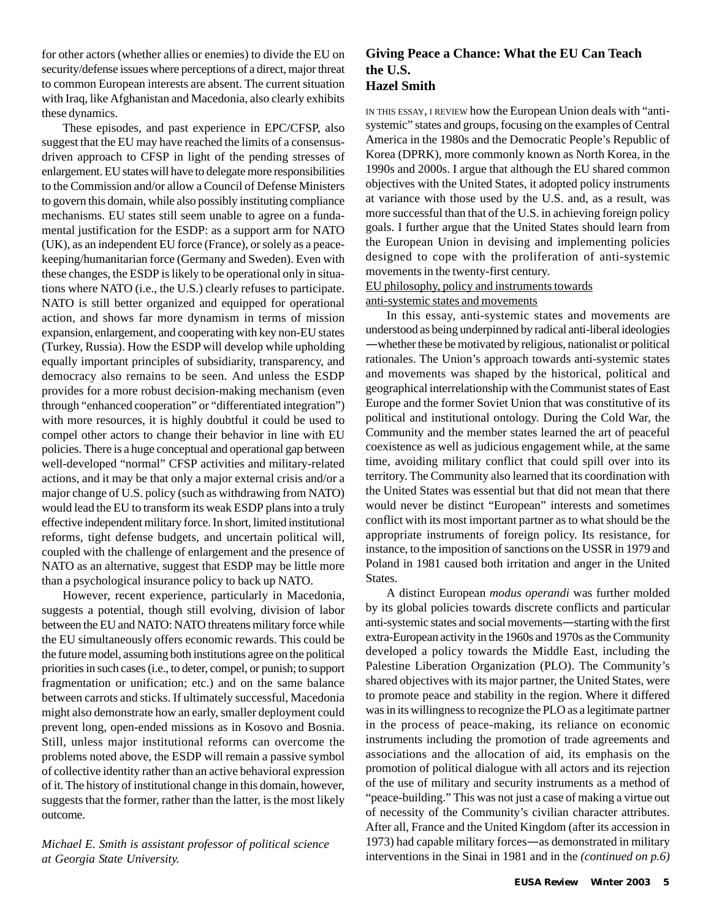for other actors (whether allies or enemies) to divide the EU on security/defense issues where perceptions of a direct, major threat to common European interests are absent. The current situation with Iraq, like Afghanistan and Macedonia, also clearly exhibits these dynamics.

These episodes, and past experience in EPC/CFSP, also suggest that the EU may have reached the limits of a consensusdriven approach to CFSP in light of the pending stresses of enlargement. EU states will have to delegate more responsibilities to the Commission and/or allow a Council of Defense Ministers to govern this domain, while also possibly instituting compliance mechanisms. EU states still seem unable to agree on a fundamental justification for the ESDP: as a support arm for NATO (UK), as an independent EU force (France), or solely as a peacekeeping/humanitarian force (Germany and Sweden). Even with these changes, the ESDP is likely to be operational only in situations where NATO (i.e., the U.S.) clearly refuses to participate. NATO is still better organized and equipped for operational action, and shows far more dynamism in terms of mission expansion, enlargement, and cooperating with key non-EU states (Turkey, Russia). How the ESDP will develop while upholding equally important principles of subsidiarity, transparency, and democracy also remains to be seen. And unless the ESDP provides for a more robust decision-making mechanism (even through "enhanced cooperation" or "differentiated integration") with more resources, it is highly doubtful it could be used to compel other actors to change their behavior in line with EU policies. There is a huge conceptual and operational gap between well-developed "normal" CFSP activities and military-related actions, and it may be that only a major external crisis and/or a major change of U.S. policy (such as withdrawing from NATO) would lead the EU to transform its weak ESDP plans into a truly effective independent military force. In short, limited institutional reforms, tight defense budgets, and uncertain political will, coupled with the challenge of enlargement and the presence of NATO as an alternative, suggest that ESDP may be little more than a psychological insurance policy to back up NATO.

However, recent experience, particularly in Macedonia, suggests a potential, though still evolving, division of labor between the EU and NATO: NATO threatens military force while the EU simultaneously offers economic rewards. This could be the future model, assuming both institutions agree on the political priorities in such cases (i.e., to deter, compel, or punish; to support fragmentation or unification; etc.) and on the same balance between carrots and sticks. If ultimately successful, Macedonia might also demonstrate how an early, smaller deployment could prevent long, open-ended missions as in Kosovo and Bosnia. Still, unless major institutional reforms can overcome the problems noted above, the ESDP will remain a passive symbol of collective identity rather than an active behavioral expression of it. The history of institutional change in this domain, however, suggests that the former, rather than the latter, is the most likely outcome.

*Michael E. Smith is assistant professor of political science at Georgia State University.*

### **Giving Peace a Chance: What the EU Can Teach the U.S. Hazel Smith**

IN THIS ESSAY, I REVIEW how the European Union deals with "antisystemic" states and groups, focusing on the examples of Central America in the 1980s and the Democratic People's Republic of Korea (DPRK), more commonly known as North Korea, in the 1990s and 2000s. I argue that although the EU shared common objectives with the United States, it adopted policy instruments at variance with those used by the U.S. and, as a result, was more successful than that of the U.S. in achieving foreign policy goals. I further argue that the United States should learn from the European Union in devising and implementing policies designed to cope with the proliferation of anti-systemic movements in the twenty-first century.

#### EU philosophy, policy and instruments towards

#### anti-systemic states and movements

In this essay, anti-systemic states and movements are understood as being underpinned by radical anti-liberal ideologies —whether these be motivated by religious, nationalist or political rationales. The Union's approach towards anti-systemic states and movements was shaped by the historical, political and geographical interrelationship with the Communist states of East Europe and the former Soviet Union that was constitutive of its political and institutional ontology. During the Cold War, the Community and the member states learned the art of peaceful coexistence as well as judicious engagement while, at the same time, avoiding military conflict that could spill over into its territory. The Community also learned that its coordination with the United States was essential but that did not mean that there would never be distinct "European" interests and sometimes conflict with its most important partner as to what should be the appropriate instruments of foreign policy. Its resistance, for instance, to the imposition of sanctions on the USSR in 1979 and Poland in 1981 caused both irritation and anger in the United States.

A distinct European *modus operandi* was further molded by its global policies towards discrete conflicts and particular anti-systemic states and social movements—starting with the first extra-European activity in the 1960s and 1970s as the Community developed a policy towards the Middle East, including the Palestine Liberation Organization (PLO). The Community's shared objectives with its major partner, the United States, were to promote peace and stability in the region. Where it differed was in its willingness to recognize the PLO as a legitimate partner in the process of peace-making, its reliance on economic instruments including the promotion of trade agreements and associations and the allocation of aid, its emphasis on the promotion of political dialogue with all actors and its rejection of the use of military and security instruments as a method of "peace-building." This was not just a case of making a virtue out of necessity of the Community's civilian character attributes. After all, France and the United Kingdom (after its accession in 1973) had capable military forces—as demonstrated in military interventions in the Sinai in 1981 and in the *(continued on p.6)*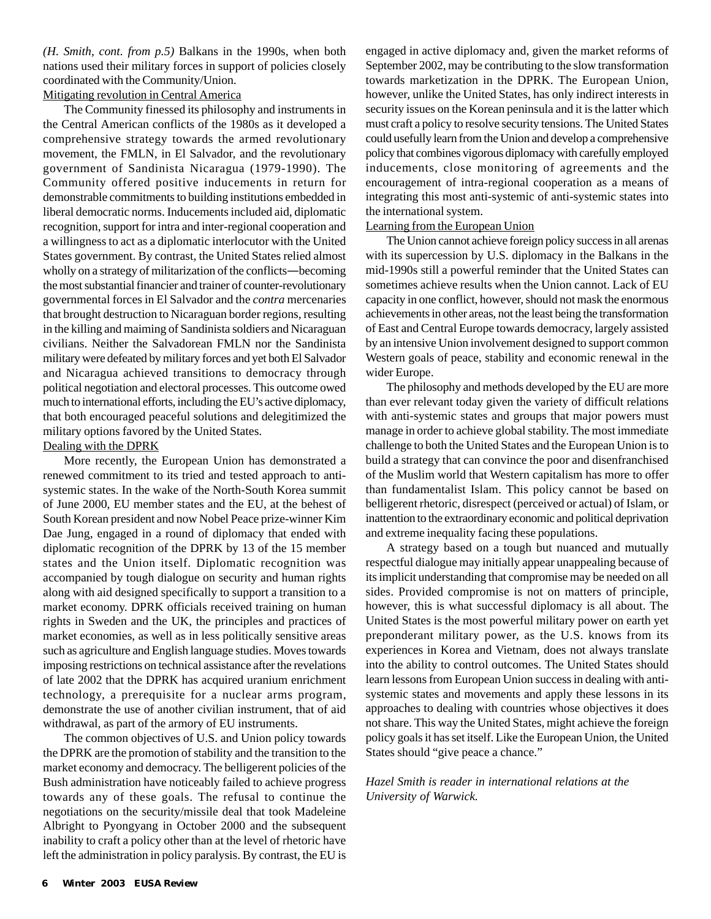*(H. Smith, cont. from p.5)* Balkans in the 1990s, when both nations used their military forces in support of policies closely coordinated with the Community/Union.

#### Mitigating revolution in Central America

The Community finessed its philosophy and instruments in the Central American conflicts of the 1980s as it developed a comprehensive strategy towards the armed revolutionary movement, the FMLN, in El Salvador, and the revolutionary government of Sandinista Nicaragua (1979-1990). The Community offered positive inducements in return for demonstrable commitments to building institutions embedded in liberal democratic norms. Inducements included aid, diplomatic recognition, support for intra and inter-regional cooperation and a willingness to act as a diplomatic interlocutor with the United States government. By contrast, the United States relied almost wholly on a strategy of militarization of the conflicts—becoming the most substantial financier and trainer of counter-revolutionary governmental forces in El Salvador and the *contra* mercenaries that brought destruction to Nicaraguan border regions, resulting in the killing and maiming of Sandinista soldiers and Nicaraguan civilians. Neither the Salvadorean FMLN nor the Sandinista military were defeated by military forces and yet both El Salvador and Nicaragua achieved transitions to democracy through political negotiation and electoral processes. This outcome owed much to international efforts, including the EU's active diplomacy, that both encouraged peaceful solutions and delegitimized the military options favored by the United States.

#### Dealing with the DPRK

More recently, the European Union has demonstrated a renewed commitment to its tried and tested approach to antisystemic states. In the wake of the North-South Korea summit of June 2000, EU member states and the EU, at the behest of South Korean president and now Nobel Peace prize-winner Kim Dae Jung, engaged in a round of diplomacy that ended with diplomatic recognition of the DPRK by 13 of the 15 member states and the Union itself. Diplomatic recognition was accompanied by tough dialogue on security and human rights along with aid designed specifically to support a transition to a market economy. DPRK officials received training on human rights in Sweden and the UK, the principles and practices of market economies, as well as in less politically sensitive areas such as agriculture and English language studies. Moves towards imposing restrictions on technical assistance after the revelations of late 2002 that the DPRK has acquired uranium enrichment technology, a prerequisite for a nuclear arms program, demonstrate the use of another civilian instrument, that of aid withdrawal, as part of the armory of EU instruments.

The common objectives of U.S. and Union policy towards the DPRK are the promotion of stability and the transition to the market economy and democracy. The belligerent policies of the Bush administration have noticeably failed to achieve progress towards any of these goals. The refusal to continue the negotiations on the security/missile deal that took Madeleine Albright to Pyongyang in October 2000 and the subsequent inability to craft a policy other than at the level of rhetoric have left the administration in policy paralysis. By contrast, the EU is engaged in active diplomacy and, given the market reforms of September 2002, may be contributing to the slow transformation towards marketization in the DPRK. The European Union, however, unlike the United States, has only indirect interests in security issues on the Korean peninsula and it is the latter which must craft a policy to resolve security tensions. The United States could usefully learn from the Union and develop a comprehensive policy that combines vigorous diplomacy with carefully employed inducements, close monitoring of agreements and the encouragement of intra-regional cooperation as a means of integrating this most anti-systemic of anti-systemic states into the international system.

#### Learning from the European Union

The Union cannot achieve foreign policy success in all arenas with its supercession by U.S. diplomacy in the Balkans in the mid-1990s still a powerful reminder that the United States can sometimes achieve results when the Union cannot. Lack of EU capacity in one conflict, however, should not mask the enormous achievements in other areas, not the least being the transformation of East and Central Europe towards democracy, largely assisted by an intensive Union involvement designed to support common Western goals of peace, stability and economic renewal in the wider Europe.

The philosophy and methods developed by the EU are more than ever relevant today given the variety of difficult relations with anti-systemic states and groups that major powers must manage in order to achieve global stability. The most immediate challenge to both the United States and the European Union is to build a strategy that can convince the poor and disenfranchised of the Muslim world that Western capitalism has more to offer than fundamentalist Islam. This policy cannot be based on belligerent rhetoric, disrespect (perceived or actual) of Islam, or inattention to the extraordinary economic and political deprivation and extreme inequality facing these populations.

A strategy based on a tough but nuanced and mutually respectful dialogue may initially appear unappealing because of its implicit understanding that compromise may be needed on all sides. Provided compromise is not on matters of principle, however, this is what successful diplomacy is all about. The United States is the most powerful military power on earth yet preponderant military power, as the U.S. knows from its experiences in Korea and Vietnam, does not always translate into the ability to control outcomes. The United States should learn lessons from European Union success in dealing with antisystemic states and movements and apply these lessons in its approaches to dealing with countries whose objectives it does not share. This way the United States, might achieve the foreign policy goals it has set itself. Like the European Union, the United States should "give peace a chance."

#### *Hazel Smith is reader in international relations at the University of Warwick.*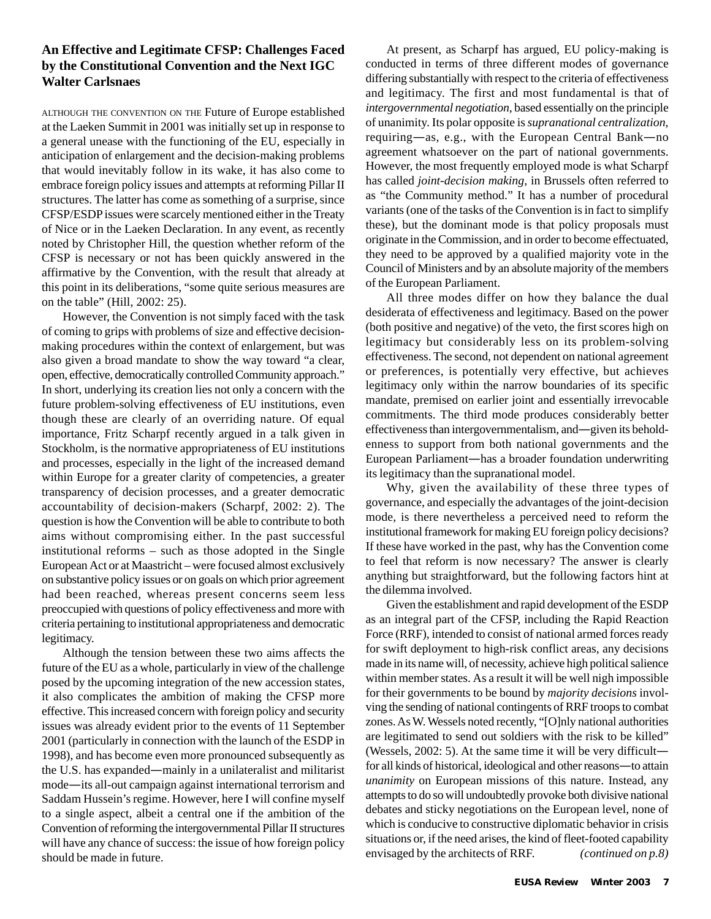#### **An Effective and Legitimate CFSP: Challenges Faced by the Constitutional Convention and the Next IGC Walter Carlsnaes**

ALTHOUGH THE CONVENTION ON THE Future of Europe established at the Laeken Summit in 2001 was initially set up in response to a general unease with the functioning of the EU, especially in anticipation of enlargement and the decision-making problems that would inevitably follow in its wake, it has also come to embrace foreign policy issues and attempts at reforming Pillar II structures. The latter has come as something of a surprise, since CFSP/ESDP issues were scarcely mentioned either in the Treaty of Nice or in the Laeken Declaration. In any event, as recently noted by Christopher Hill, the question whether reform of the CFSP is necessary or not has been quickly answered in the affirmative by the Convention, with the result that already at this point in its deliberations, "some quite serious measures are on the table" (Hill, 2002: 25).

However, the Convention is not simply faced with the task of coming to grips with problems of size and effective decisionmaking procedures within the context of enlargement, but was also given a broad mandate to show the way toward "a clear, open, effective, democratically controlled Community approach." In short, underlying its creation lies not only a concern with the future problem-solving effectiveness of EU institutions, even though these are clearly of an overriding nature. Of equal importance, Fritz Scharpf recently argued in a talk given in Stockholm, is the normative appropriateness of EU institutions and processes, especially in the light of the increased demand within Europe for a greater clarity of competencies, a greater transparency of decision processes, and a greater democratic accountability of decision-makers (Scharpf, 2002: 2). The question is how the Convention will be able to contribute to both aims without compromising either. In the past successful institutional reforms – such as those adopted in the Single European Act or at Maastricht – were focused almost exclusively on substantive policy issues or on goals on which prior agreement had been reached, whereas present concerns seem less preoccupied with questions of policy effectiveness and more with criteria pertaining to institutional appropriateness and democratic legitimacy.

Although the tension between these two aims affects the future of the EU as a whole, particularly in view of the challenge posed by the upcoming integration of the new accession states, it also complicates the ambition of making the CFSP more effective. This increased concern with foreign policy and security issues was already evident prior to the events of 11 September 2001 (particularly in connection with the launch of the ESDP in 1998), and has become even more pronounced subsequently as the U.S. has expanded—mainly in a unilateralist and militarist mode—its all-out campaign against international terrorism and Saddam Hussein's regime. However, here I will confine myself to a single aspect, albeit a central one if the ambition of the Convention of reforming the intergovernmental Pillar II structures will have any chance of success: the issue of how foreign policy should be made in future.

At present, as Scharpf has argued, EU policy-making is conducted in terms of three different modes of governance differing substantially with respect to the criteria of effectiveness and legitimacy. The first and most fundamental is that of *intergovernmental negotiation,* based essentially on the principle of unanimity. Its polar opposite is *supranational centralization,* requiring—as, e.g., with the European Central Bank—no agreement whatsoever on the part of national governments. However, the most frequently employed mode is what Scharpf has called *joint-decision making,* in Brussels often referred to as "the Community method." It has a number of procedural variants (one of the tasks of the Convention is in fact to simplify these), but the dominant mode is that policy proposals must originate in the Commission, and in order to become effectuated, they need to be approved by a qualified majority vote in the Council of Ministers and by an absolute majority of the members of the European Parliament.

All three modes differ on how they balance the dual desiderata of effectiveness and legitimacy. Based on the power (both positive and negative) of the veto, the first scores high on legitimacy but considerably less on its problem-solving effectiveness. The second, not dependent on national agreement or preferences, is potentially very effective, but achieves legitimacy only within the narrow boundaries of its specific mandate, premised on earlier joint and essentially irrevocable commitments. The third mode produces considerably better effectiveness than intergovernmentalism, and—given its beholdenness to support from both national governments and the European Parliament—has a broader foundation underwriting its legitimacy than the supranational model.

Why, given the availability of these three types of governance, and especially the advantages of the joint-decision mode, is there nevertheless a perceived need to reform the institutional framework for making EU foreign policy decisions? If these have worked in the past, why has the Convention come to feel that reform is now necessary? The answer is clearly anything but straightforward, but the following factors hint at the dilemma involved.

Given the establishment and rapid development of the ESDP as an integral part of the CFSP, including the Rapid Reaction Force (RRF), intended to consist of national armed forces ready for swift deployment to high-risk conflict areas, any decisions made in its name will, of necessity, achieve high political salience within member states. As a result it will be well nigh impossible for their governments to be bound by *majority decisions* involving the sending of national contingents of RRF troops to combat zones. As W. Wessels noted recently, "[O]nly national authorities are legitimated to send out soldiers with the risk to be killed" (Wessels, 2002: 5). At the same time it will be very difficult for all kinds of historical, ideological and other reasons—to attain *unanimity* on European missions of this nature. Instead, any attempts to do so will undoubtedly provoke both divisive national debates and sticky negotiations on the European level, none of which is conducive to constructive diplomatic behavior in crisis situations or, if the need arises, the kind of fleet-footed capability envisaged by the architects of RRF. *(continued on p.8)*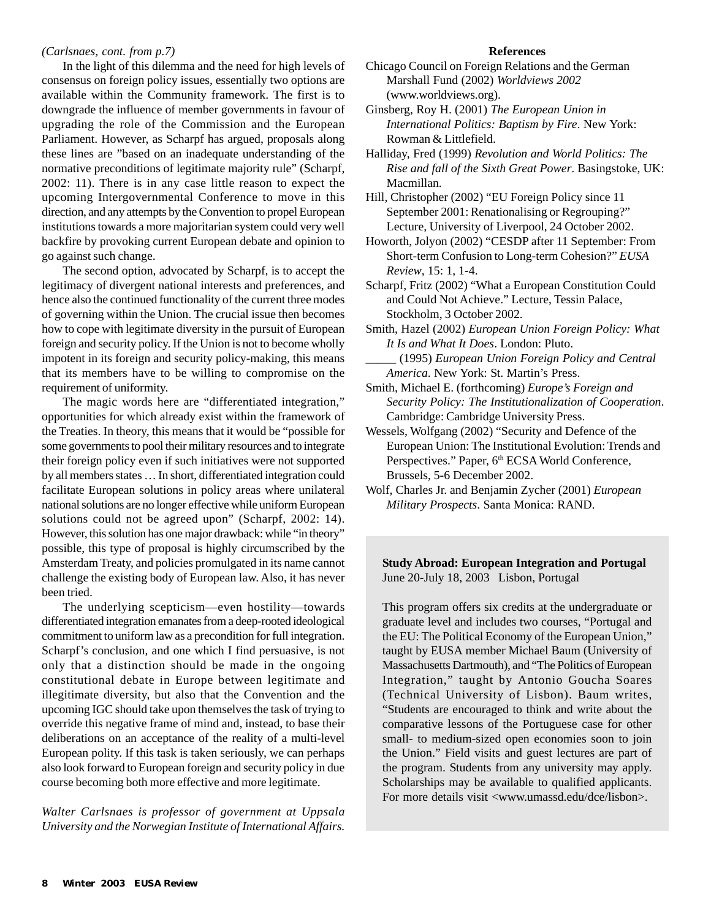#### *(Carlsnaes, cont. from p.7)*

In the light of this dilemma and the need for high levels of consensus on foreign policy issues, essentially two options are available within the Community framework. The first is to downgrade the influence of member governments in favour of upgrading the role of the Commission and the European Parliament. However, as Scharpf has argued, proposals along these lines are "based on an inadequate understanding of the normative preconditions of legitimate majority rule" (Scharpf, 2002: 11). There is in any case little reason to expect the upcoming Intergovernmental Conference to move in this direction, and any attempts by the Convention to propel European institutions towards a more majoritarian system could very well backfire by provoking current European debate and opinion to go against such change.

The second option, advocated by Scharpf, is to accept the legitimacy of divergent national interests and preferences, and hence also the continued functionality of the current three modes of governing within the Union. The crucial issue then becomes how to cope with legitimate diversity in the pursuit of European foreign and security policy. If the Union is not to become wholly impotent in its foreign and security policy-making, this means that its members have to be willing to compromise on the requirement of uniformity.

The magic words here are "differentiated integration," opportunities for which already exist within the framework of the Treaties. In theory, this means that it would be "possible for some governments to pool their military resources and to integrate their foreign policy even if such initiatives were not supported by all members states … In short, differentiated integration could facilitate European solutions in policy areas where unilateral national solutions are no longer effective while uniform European solutions could not be agreed upon" (Scharpf, 2002: 14). However, this solution has one major drawback: while "in theory" possible, this type of proposal is highly circumscribed by the Amsterdam Treaty, and policies promulgated in its name cannot challenge the existing body of European law. Also, it has never been tried.

The underlying scepticism—even hostility—towards differentiated integration emanates from a deep-rooted ideological commitment to uniform law as a precondition for full integration. Scharpf's conclusion, and one which I find persuasive, is not only that a distinction should be made in the ongoing constitutional debate in Europe between legitimate and illegitimate diversity, but also that the Convention and the upcoming IGC should take upon themselves the task of trying to override this negative frame of mind and, instead, to base their deliberations on an acceptance of the reality of a multi-level European polity. If this task is taken seriously, we can perhaps also look forward to European foreign and security policy in due course becoming both more effective and more legitimate.

*Walter Carlsnaes is professor of government at Uppsala University and the Norwegian Institute of International Affairs.*

#### **References**

- Chicago Council on Foreign Relations and the German Marshall Fund (2002) *Worldviews 2002* (www.worldviews.org).
- Ginsberg, Roy H. (2001) *The European Union in International Politics: Baptism by Fire*. New York: Rowman & Littlefield.
- Halliday, Fred (1999) *Revolution and World Politics: The Rise and fall of the Sixth Great Power*. Basingstoke, UK: Macmillan.

Hill, Christopher (2002) "EU Foreign Policy since 11 September 2001: Renationalising or Regrouping?" Lecture, University of Liverpool, 24 October 2002.

- Howorth, Jolyon (2002) "CESDP after 11 September: From Short-term Confusion to Long-term Cohesion?" *EUSA Review*, 15: 1, 1-4.
- Scharpf, Fritz (2002) "What a European Constitution Could and Could Not Achieve." Lecture, Tessin Palace, Stockholm, 3 October 2002.
- Smith, Hazel (2002) *European Union Foreign Policy: What It Is and What It Does*. London: Pluto.
	- \_\_\_\_\_ (1995) *European Union Foreign Policy and Central America*. New York: St. Martin's Press.
- Smith, Michael E. (forthcoming) *Europe's Foreign and Security Policy: The Institutionalization of Cooperation*. Cambridge: Cambridge University Press.
- Wessels, Wolfgang (2002) "Security and Defence of the European Union: The Institutional Evolution: Trends and Perspectives." Paper, 6<sup>th</sup> ECSA World Conference, Brussels, 5-6 December 2002.
- Wolf, Charles Jr. and Benjamin Zycher (2001) *European Military Prospects*. Santa Monica: RAND.

#### **Study Abroad: European Integration and Portugal** June 20-July 18, 2003 Lisbon, Portugal

This program offers six credits at the undergraduate or graduate level and includes two courses, "Portugal and the EU: The Political Economy of the European Union," taught by EUSA member Michael Baum (University of Massachusetts Dartmouth), and "The Politics of European Integration," taught by Antonio Goucha Soares (Technical University of Lisbon). Baum writes, "Students are encouraged to think and write about the comparative lessons of the Portuguese case for other small- to medium-sized open economies soon to join the Union." Field visits and guest lectures are part of the program. Students from any university may apply. Scholarships may be available to qualified applicants. For more details visit <www.umassd.edu/dce/lisbon>.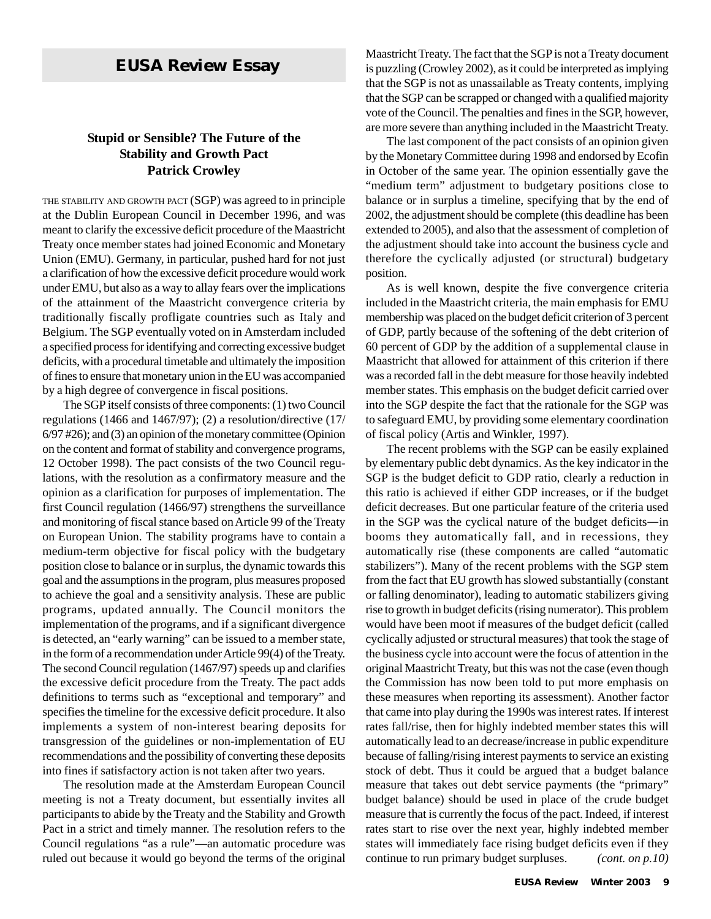### *EUSA Review* **Essay**

#### **Stupid or Sensible? The Future of the Stability and Growth Pact Patrick Crowley**

THE STABILITY AND GROWTH PACT (SGP) was agreed to in principle at the Dublin European Council in December 1996, and was meant to clarify the excessive deficit procedure of the Maastricht Treaty once member states had joined Economic and Monetary Union (EMU). Germany, in particular, pushed hard for not just a clarification of how the excessive deficit procedure would work under EMU, but also as a way to allay fears over the implications of the attainment of the Maastricht convergence criteria by traditionally fiscally profligate countries such as Italy and Belgium. The SGP eventually voted on in Amsterdam included a specified process for identifying and correcting excessive budget deficits, with a procedural timetable and ultimately the imposition of fines to ensure that monetary union in the EU was accompanied by a high degree of convergence in fiscal positions.

The SGP itself consists of three components: (1) two Council regulations (1466 and 1467/97); (2) a resolution/directive (17/ 6/97 #26); and (3) an opinion of the monetary committee (Opinion on the content and format of stability and convergence programs, 12 October 1998). The pact consists of the two Council regulations, with the resolution as a confirmatory measure and the opinion as a clarification for purposes of implementation. The first Council regulation (1466/97) strengthens the surveillance and monitoring of fiscal stance based on Article 99 of the Treaty on European Union. The stability programs have to contain a medium-term objective for fiscal policy with the budgetary position close to balance or in surplus, the dynamic towards this goal and the assumptions in the program, plus measures proposed to achieve the goal and a sensitivity analysis. These are public programs, updated annually. The Council monitors the implementation of the programs, and if a significant divergence is detected, an "early warning" can be issued to a member state, in the form of a recommendation under Article 99(4) of the Treaty. The second Council regulation (1467/97) speeds up and clarifies the excessive deficit procedure from the Treaty. The pact adds definitions to terms such as "exceptional and temporary" and specifies the timeline for the excessive deficit procedure. It also implements a system of non-interest bearing deposits for transgression of the guidelines or non-implementation of EU recommendations and the possibility of converting these deposits into fines if satisfactory action is not taken after two years.

The resolution made at the Amsterdam European Council meeting is not a Treaty document, but essentially invites all participants to abide by the Treaty and the Stability and Growth Pact in a strict and timely manner. The resolution refers to the Council regulations "as a rule"—an automatic procedure was ruled out because it would go beyond the terms of the original

Maastricht Treaty. The fact that the SGP is not a Treaty document is puzzling (Crowley 2002), as it could be interpreted as implying that the SGP is not as unassailable as Treaty contents, implying that the SGP can be scrapped or changed with a qualified majority vote of the Council. The penalties and fines in the SGP, however, are more severe than anything included in the Maastricht Treaty.

The last component of the pact consists of an opinion given by the Monetary Committee during 1998 and endorsed by Ecofin in October of the same year. The opinion essentially gave the "medium term" adjustment to budgetary positions close to balance or in surplus a timeline, specifying that by the end of 2002, the adjustment should be complete (this deadline has been extended to 2005), and also that the assessment of completion of the adjustment should take into account the business cycle and therefore the cyclically adjusted (or structural) budgetary position.

As is well known, despite the five convergence criteria included in the Maastricht criteria, the main emphasis for EMU membership was placed on the budget deficit criterion of 3 percent of GDP, partly because of the softening of the debt criterion of 60 percent of GDP by the addition of a supplemental clause in Maastricht that allowed for attainment of this criterion if there was a recorded fall in the debt measure for those heavily indebted member states. This emphasis on the budget deficit carried over into the SGP despite the fact that the rationale for the SGP was to safeguard EMU, by providing some elementary coordination of fiscal policy (Artis and Winkler, 1997).

The recent problems with the SGP can be easily explained by elementary public debt dynamics. As the key indicator in the SGP is the budget deficit to GDP ratio, clearly a reduction in this ratio is achieved if either GDP increases, or if the budget deficit decreases. But one particular feature of the criteria used in the SGP was the cyclical nature of the budget deficits—in booms they automatically fall, and in recessions, they automatically rise (these components are called "automatic stabilizers"). Many of the recent problems with the SGP stem from the fact that EU growth has slowed substantially (constant or falling denominator), leading to automatic stabilizers giving rise to growth in budget deficits (rising numerator). This problem would have been moot if measures of the budget deficit (called cyclically adjusted or structural measures) that took the stage of the business cycle into account were the focus of attention in the original Maastricht Treaty, but this was not the case (even though the Commission has now been told to put more emphasis on these measures when reporting its assessment). Another factor that came into play during the 1990s was interest rates. If interest rates fall/rise, then for highly indebted member states this will automatically lead to an decrease/increase in public expenditure because of falling/rising interest payments to service an existing stock of debt. Thus it could be argued that a budget balance measure that takes out debt service payments (the "primary" budget balance) should be used in place of the crude budget measure that is currently the focus of the pact. Indeed, if interest rates start to rise over the next year, highly indebted member states will immediately face rising budget deficits even if they continue to run primary budget surpluses. *(cont. on p.10)*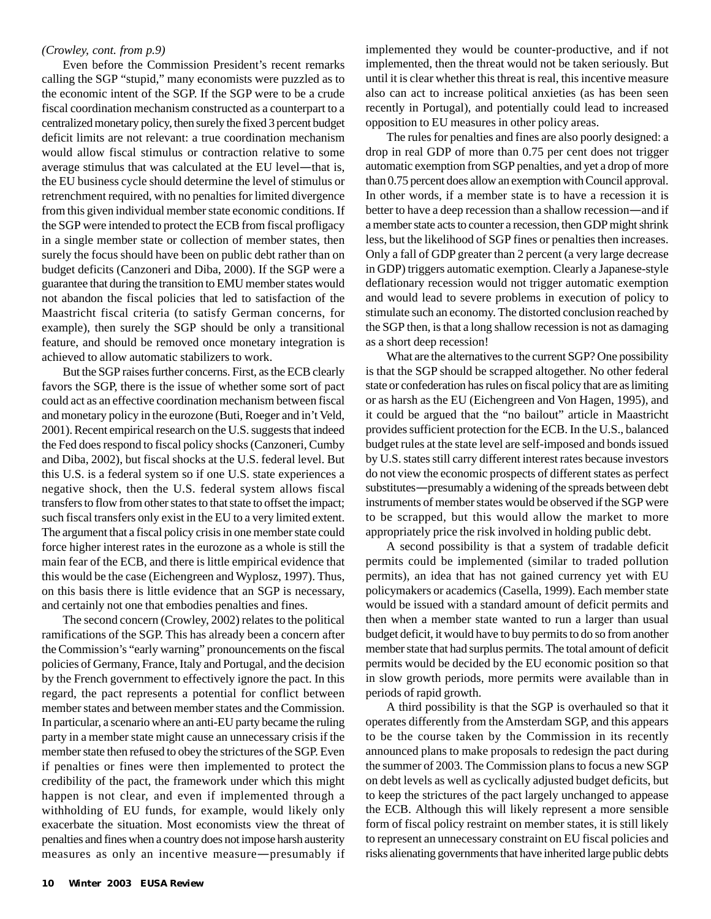#### *(Crowley, cont. from p.9)*

Even before the Commission President's recent remarks calling the SGP "stupid," many economists were puzzled as to the economic intent of the SGP. If the SGP were to be a crude fiscal coordination mechanism constructed as a counterpart to a centralized monetary policy, then surely the fixed 3 percent budget deficit limits are not relevant: a true coordination mechanism would allow fiscal stimulus or contraction relative to some average stimulus that was calculated at the EU level—that is, the EU business cycle should determine the level of stimulus or retrenchment required, with no penalties for limited divergence from this given individual member state economic conditions. If the SGP were intended to protect the ECB from fiscal profligacy in a single member state or collection of member states, then surely the focus should have been on public debt rather than on budget deficits (Canzoneri and Diba, 2000). If the SGP were a guarantee that during the transition to EMU member states would not abandon the fiscal policies that led to satisfaction of the Maastricht fiscal criteria (to satisfy German concerns, for example), then surely the SGP should be only a transitional feature, and should be removed once monetary integration is achieved to allow automatic stabilizers to work.

But the SGP raises further concerns. First, as the ECB clearly favors the SGP, there is the issue of whether some sort of pact could act as an effective coordination mechanism between fiscal and monetary policy in the eurozone (Buti, Roeger and in't Veld, 2001). Recent empirical research on the U.S. suggests that indeed the Fed does respond to fiscal policy shocks (Canzoneri, Cumby and Diba, 2002), but fiscal shocks at the U.S. federal level. But this U.S. is a federal system so if one U.S. state experiences a negative shock, then the U.S. federal system allows fiscal transfers to flow from other states to that state to offset the impact; such fiscal transfers only exist in the EU to a very limited extent. The argument that a fiscal policy crisis in one member state could force higher interest rates in the eurozone as a whole is still the main fear of the ECB, and there is little empirical evidence that this would be the case (Eichengreen and Wyplosz, 1997). Thus, on this basis there is little evidence that an SGP is necessary, and certainly not one that embodies penalties and fines.

The second concern (Crowley, 2002) relates to the political ramifications of the SGP. This has already been a concern after the Commission's "early warning" pronouncements on the fiscal policies of Germany, France, Italy and Portugal, and the decision by the French government to effectively ignore the pact. In this regard, the pact represents a potential for conflict between member states and between member states and the Commission. In particular, a scenario where an anti-EU party became the ruling party in a member state might cause an unnecessary crisis if the member state then refused to obey the strictures of the SGP. Even if penalties or fines were then implemented to protect the credibility of the pact, the framework under which this might happen is not clear, and even if implemented through a withholding of EU funds, for example, would likely only exacerbate the situation. Most economists view the threat of penalties and fines when a country does not impose harsh austerity measures as only an incentive measure—presumably if implemented they would be counter-productive, and if not implemented, then the threat would not be taken seriously. But until it is clear whether this threat is real, this incentive measure also can act to increase political anxieties (as has been seen recently in Portugal), and potentially could lead to increased opposition to EU measures in other policy areas.

The rules for penalties and fines are also poorly designed: a drop in real GDP of more than 0.75 per cent does not trigger automatic exemption from SGP penalties, and yet a drop of more than 0.75 percent does allow an exemption with Council approval. In other words, if a member state is to have a recession it is better to have a deep recession than a shallow recession—and if a member state acts to counter a recession, then GDP might shrink less, but the likelihood of SGP fines or penalties then increases. Only a fall of GDP greater than 2 percent (a very large decrease in GDP) triggers automatic exemption. Clearly a Japanese-style deflationary recession would not trigger automatic exemption and would lead to severe problems in execution of policy to stimulate such an economy. The distorted conclusion reached by the SGP then, is that a long shallow recession is not as damaging as a short deep recession!

What are the alternatives to the current SGP? One possibility is that the SGP should be scrapped altogether. No other federal state or confederation has rules on fiscal policy that are as limiting or as harsh as the EU (Eichengreen and Von Hagen, 1995), and it could be argued that the "no bailout" article in Maastricht provides sufficient protection for the ECB. In the U.S., balanced budget rules at the state level are self-imposed and bonds issued by U.S. states still carry different interest rates because investors do not view the economic prospects of different states as perfect substitutes—presumably a widening of the spreads between debt instruments of member states would be observed if the SGP were to be scrapped, but this would allow the market to more appropriately price the risk involved in holding public debt.

A second possibility is that a system of tradable deficit permits could be implemented (similar to traded pollution permits), an idea that has not gained currency yet with EU policymakers or academics (Casella, 1999). Each member state would be issued with a standard amount of deficit permits and then when a member state wanted to run a larger than usual budget deficit, it would have to buy permits to do so from another member state that had surplus permits. The total amount of deficit permits would be decided by the EU economic position so that in slow growth periods, more permits were available than in periods of rapid growth.

A third possibility is that the SGP is overhauled so that it operates differently from the Amsterdam SGP, and this appears to be the course taken by the Commission in its recently announced plans to make proposals to redesign the pact during the summer of 2003. The Commission plans to focus a new SGP on debt levels as well as cyclically adjusted budget deficits, but to keep the strictures of the pact largely unchanged to appease the ECB. Although this will likely represent a more sensible form of fiscal policy restraint on member states, it is still likely to represent an unnecessary constraint on EU fiscal policies and risks alienating governments that have inherited large public debts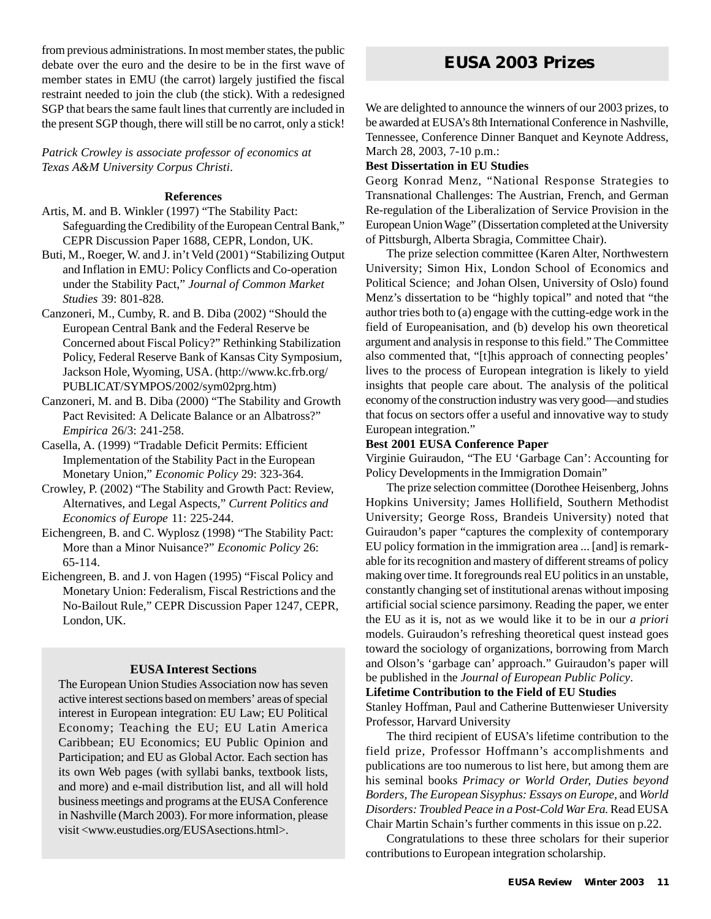from previous administrations. In most member states, the public debate over the euro and the desire to be in the first wave of member states in EMU (the carrot) largely justified the fiscal restraint needed to join the club (the stick). With a redesigned SGP that bears the same fault lines that currently are included in the present SGP though, there will still be no carrot, only a stick!

*Patrick Crowley is associate professor of economics at Texas A&M University Corpus Christi*.

#### **References**

- Artis, M. and B. Winkler (1997) "The Stability Pact: Safeguarding the Credibility of the European Central Bank," CEPR Discussion Paper 1688, CEPR, London, UK.
- Buti, M., Roeger, W. and J. in't Veld (2001) "Stabilizing Output and Inflation in EMU: Policy Conflicts and Co-operation under the Stability Pact," *Journal of Common Market Studies* 39: 801-828.
- Canzoneri, M., Cumby, R. and B. Diba (2002) "Should the European Central Bank and the Federal Reserve be Concerned about Fiscal Policy?" Rethinking Stabilization Policy, Federal Reserve Bank of Kansas City Symposium, Jackson Hole, Wyoming, USA. (http://www.kc.frb.org/ PUBLICAT/SYMPOS/2002/sym02prg.htm)
- Canzoneri, M. and B. Diba (2000) "The Stability and Growth Pact Revisited: A Delicate Balance or an Albatross?" *Empirica* 26/3: 241-258.
- Casella, A. (1999) "Tradable Deficit Permits: Efficient Implementation of the Stability Pact in the European Monetary Union," *Economic Policy* 29: 323-364.
- Crowley, P. (2002) "The Stability and Growth Pact: Review, Alternatives, and Legal Aspects," *Current Politics and Economics of Europe* 11: 225-244.
- Eichengreen, B. and C. Wyplosz (1998) "The Stability Pact: More than a Minor Nuisance?" *Economic Policy* 26: 65-114.
- Eichengreen, B. and J. von Hagen (1995) "Fiscal Policy and Monetary Union: Federalism, Fiscal Restrictions and the No-Bailout Rule," CEPR Discussion Paper 1247, CEPR, London, UK.

#### **EUSA Interest Sections**

The European Union Studies Association now has seven active interest sections based on members' areas of special interest in European integration: EU Law; EU Political Economy; Teaching the EU; EU Latin America Caribbean; EU Economics; EU Public Opinion and Participation; and EU as Global Actor. Each section has its own Web pages (with syllabi banks, textbook lists, and more) and e-mail distribution list, and all will hold business meetings and programs at the EUSA Conference in Nashville (March 2003). For more information, please visit <www.eustudies.org/EUSAsections.html>.

### **EUSA 2003 Prizes**

We are delighted to announce the winners of our 2003 prizes, to be awarded at EUSA's 8th International Conference in Nashville, Tennessee, Conference Dinner Banquet and Keynote Address, March 28, 2003, 7-10 p.m.:

#### **Best Dissertation in EU Studies**

Georg Konrad Menz, "National Response Strategies to Transnational Challenges: The Austrian, French, and German Re-regulation of the Liberalization of Service Provision in the European Union Wage" (Dissertation completed at the University of Pittsburgh, Alberta Sbragia, Committee Chair).

The prize selection committee (Karen Alter, Northwestern University; Simon Hix, London School of Economics and Political Science; and Johan Olsen, University of Oslo) found Menz's dissertation to be "highly topical" and noted that "the author tries both to (a) engage with the cutting-edge work in the field of Europeanisation, and (b) develop his own theoretical argument and analysis in response to this field." The Committee also commented that, "[t]his approach of connecting peoples' lives to the process of European integration is likely to yield insights that people care about. The analysis of the political economy of the construction industry was very good—and studies that focus on sectors offer a useful and innovative way to study European integration."

#### **Best 2001 EUSA Conference Paper**

Virginie Guiraudon, "The EU 'Garbage Can': Accounting for Policy Developments in the Immigration Domain"

The prize selection committee (Dorothee Heisenberg, Johns Hopkins University; James Hollifield, Southern Methodist University; George Ross, Brandeis University) noted that Guiraudon's paper "captures the complexity of contemporary EU policy formation in the immigration area ... [and] is remarkable for its recognition and mastery of different streams of policy making over time. It foregrounds real EU politics in an unstable, constantly changing set of institutional arenas without imposing artificial social science parsimony. Reading the paper, we enter the EU as it is, not as we would like it to be in our *a priori* models. Guiraudon's refreshing theoretical quest instead goes toward the sociology of organizations, borrowing from March and Olson's 'garbage can' approach." Guiraudon's paper will be published in the *Journal of European Public Policy*.

#### **Lifetime Contribution to the Field of EU Studies**

Stanley Hoffman, Paul and Catherine Buttenwieser University Professor, Harvard University

The third recipient of EUSA's lifetime contribution to the field prize, Professor Hoffmann's accomplishments and publications are too numerous to list here, but among them are his seminal books *Primacy or World Order, Duties beyond Borders, The European Sisyphus: Essays on Europe,* and *World Disorders: Troubled Peace in a Post-Cold War Era.* Read EUSA Chair Martin Schain's further comments in this issue on p.22.

Congratulations to these three scholars for their superior contributions to European integration scholarship.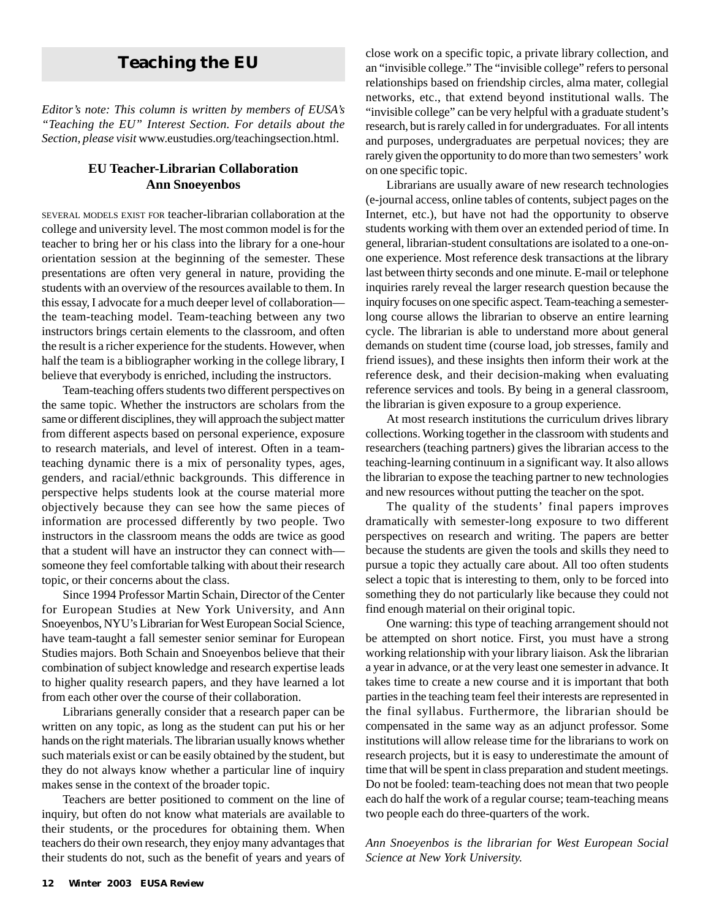*Editor's note: This column is written by members of EUSA's "Teaching the EU" Interest Section. For details about the Section, please visit* www.eustudies.org/teachingsection.html.

#### **EU Teacher-Librarian Collaboration Ann Snoeyenbos**

SEVERAL MODELS EXIST FOR teacher-librarian collaboration at the college and university level. The most common model is for the teacher to bring her or his class into the library for a one-hour orientation session at the beginning of the semester. These presentations are often very general in nature, providing the students with an overview of the resources available to them. In this essay, I advocate for a much deeper level of collaboration the team-teaching model. Team-teaching between any two instructors brings certain elements to the classroom, and often the result is a richer experience for the students. However, when half the team is a bibliographer working in the college library, I believe that everybody is enriched, including the instructors.

Team-teaching offers students two different perspectives on the same topic. Whether the instructors are scholars from the same or different disciplines, they will approach the subject matter from different aspects based on personal experience, exposure to research materials, and level of interest. Often in a teamteaching dynamic there is a mix of personality types, ages, genders, and racial/ethnic backgrounds. This difference in perspective helps students look at the course material more objectively because they can see how the same pieces of information are processed differently by two people. Two instructors in the classroom means the odds are twice as good that a student will have an instructor they can connect with someone they feel comfortable talking with about their research topic, or their concerns about the class.

Since 1994 Professor Martin Schain, Director of the Center for European Studies at New York University, and Ann Snoeyenbos, NYU's Librarian for West European Social Science, have team-taught a fall semester senior seminar for European Studies majors. Both Schain and Snoeyenbos believe that their combination of subject knowledge and research expertise leads to higher quality research papers, and they have learned a lot from each other over the course of their collaboration.

Librarians generally consider that a research paper can be written on any topic, as long as the student can put his or her hands on the right materials. The librarian usually knows whether such materials exist or can be easily obtained by the student, but they do not always know whether a particular line of inquiry makes sense in the context of the broader topic.

Teachers are better positioned to comment on the line of inquiry, but often do not know what materials are available to their students, or the procedures for obtaining them. When teachers do their own research, they enjoy many advantages that their students do not, such as the benefit of years and years of

**Teaching the EU** close work on a specific topic, a private library collection, and an "invisible college" The "invisible college" refers to personal an "invisible college." The "invisible college" refers to personal relationships based on friendship circles, alma mater, collegial networks, etc., that extend beyond institutional walls. The "invisible college" can be very helpful with a graduate student's research, but is rarely called in for undergraduates. For all intents and purposes, undergraduates are perpetual novices; they are rarely given the opportunity to do more than two semesters' work on one specific topic.

> Librarians are usually aware of new research technologies (e-journal access, online tables of contents, subject pages on the Internet, etc.), but have not had the opportunity to observe students working with them over an extended period of time. In general, librarian-student consultations are isolated to a one-onone experience. Most reference desk transactions at the library last between thirty seconds and one minute. E-mail or telephone inquiries rarely reveal the larger research question because the inquiry focuses on one specific aspect. Team-teaching a semesterlong course allows the librarian to observe an entire learning cycle. The librarian is able to understand more about general demands on student time (course load, job stresses, family and friend issues), and these insights then inform their work at the reference desk, and their decision-making when evaluating reference services and tools. By being in a general classroom, the librarian is given exposure to a group experience.

> At most research institutions the curriculum drives library collections. Working together in the classroom with students and researchers (teaching partners) gives the librarian access to the teaching-learning continuum in a significant way. It also allows the librarian to expose the teaching partner to new technologies and new resources without putting the teacher on the spot.

> The quality of the students' final papers improves dramatically with semester-long exposure to two different perspectives on research and writing. The papers are better because the students are given the tools and skills they need to pursue a topic they actually care about. All too often students select a topic that is interesting to them, only to be forced into something they do not particularly like because they could not find enough material on their original topic.

> One warning: this type of teaching arrangement should not be attempted on short notice. First, you must have a strong working relationship with your library liaison. Ask the librarian a year in advance, or at the very least one semester in advance. It takes time to create a new course and it is important that both parties in the teaching team feel their interests are represented in the final syllabus. Furthermore, the librarian should be compensated in the same way as an adjunct professor. Some institutions will allow release time for the librarians to work on research projects, but it is easy to underestimate the amount of time that will be spent in class preparation and student meetings. Do not be fooled: team-teaching does not mean that two people each do half the work of a regular course; team-teaching means two people each do three-quarters of the work.

> *Ann Snoeyenbos is the librarian for West European Social Science at New York University.*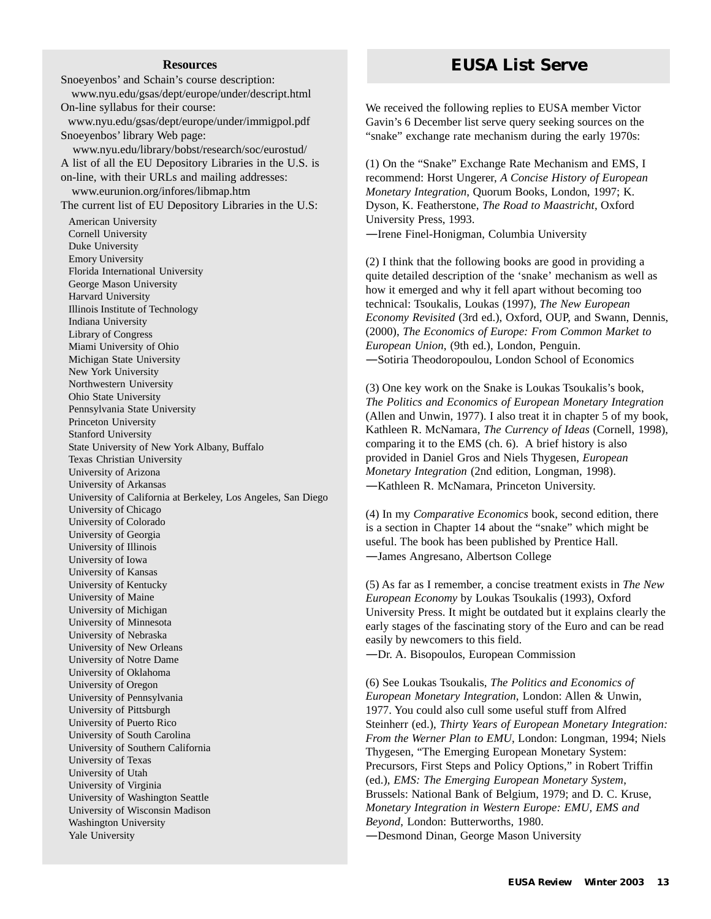#### **Resources**

Snoeyenbos' and Schain's course description: www.nyu.edu/gsas/dept/europe/under/descript.html On-line syllabus for their course: www.nyu.edu/gsas/dept/europe/under/immigpol.pdf Snoeyenbos' library Web page: www.nyu.edu/library/bobst/research/soc/eurostud/ A list of all the EU Depository Libraries in the U.S. is on-line, with their URLs and mailing addresses: www.eurunion.org/infores/libmap.htm The current list of EU Depository Libraries in the U.S: American University Cornell University Duke University Emory University Florida International University George Mason University Harvard University Illinois Institute of Technology Indiana University Library of Congress Miami University of Ohio Michigan State University New York University Northwestern University Ohio State University Pennsylvania State University Princeton University Stanford University State University of New York Albany, Buffalo Texas Christian University University of Arizona University of Arkansas University of California at Berkeley, Los Angeles, San Diego University of Chicago University of Colorado University of Georgia University of Illinois University of Iowa University of Kansas University of Kentucky University of Maine University of Michigan University of Minnesota University of Nebraska University of New Orleans University of Notre Dame University of Oklahoma University of Oregon University of Pennsylvania University of Pittsburgh University of Puerto Rico University of South Carolina University of Southern California University of Texas University of Utah University of Virginia University of Washington Seattle University of Wisconsin Madison Washington University Yale University

### **EUSA List Serve**

We received the following replies to EUSA member Victor Gavin's 6 December list serve query seeking sources on the "snake" exchange rate mechanism during the early 1970s:

(1) On the "Snake" Exchange Rate Mechanism and EMS, I recommend: Horst Ungerer, *A Concise History of European Monetary Integration*, Quorum Books, London, 1997; K. Dyson, K. Featherstone, *The Road to Maastricht*, Oxford University Press, 1993. —Irene Finel-Honigman, Columbia University

(2) I think that the following books are good in providing a quite detailed description of the 'snake' mechanism as well as how it emerged and why it fell apart without becoming too technical: Tsoukalis, Loukas (1997), *The New European Economy Revisited* (3rd ed.), Oxford, OUP, and Swann, Dennis, (2000), *The Economics of Europe: From Common Market to European Union*, (9th ed.), London, Penguin. —Sotiria Theodoropoulou, London School of Economics

(3) One key work on the Snake is Loukas Tsoukalis's book, *The Politics and Economics of European Monetary Integration* (Allen and Unwin, 1977). I also treat it in chapter 5 of my book, Kathleen R. McNamara, *The Currency of Ideas* (Cornell, 1998), comparing it to the EMS (ch. 6). A brief history is also provided in Daniel Gros and Niels Thygesen, *European Monetary Integration* (2nd edition, Longman, 1998). —Kathleen R. McNamara, Princeton University.

(4) In my *Comparative Economics* book, second edition, there is a section in Chapter 14 about the "snake" which might be useful. The book has been published by Prentice Hall. —James Angresano, Albertson College

(5) As far as I remember, a concise treatment exists in *The New European Economy* by Loukas Tsoukalis (1993), Oxford University Press. It might be outdated but it explains clearly the early stages of the fascinating story of the Euro and can be read easily by newcomers to this field. —Dr. A. Bisopoulos, European Commission

(6) See Loukas Tsoukalis, *The Politics and Economics of European Monetary Integration*, London: Allen & Unwin, 1977. You could also cull some useful stuff from Alfred Steinherr (ed.), *Thirty Years of European Monetary Integration: From the Werner Plan to EMU*, London: Longman, 1994; Niels Thygesen, "The Emerging European Monetary System: Precursors, First Steps and Policy Options," in Robert Triffin (ed.), *EMS: The Emerging European Monetary System*, Brussels: National Bank of Belgium, 1979; and D. C. Kruse, *Monetary Integration in Western Europe: EMU, EMS and Beyond*, London: Butterworths, 1980. —Desmond Dinan, George Mason University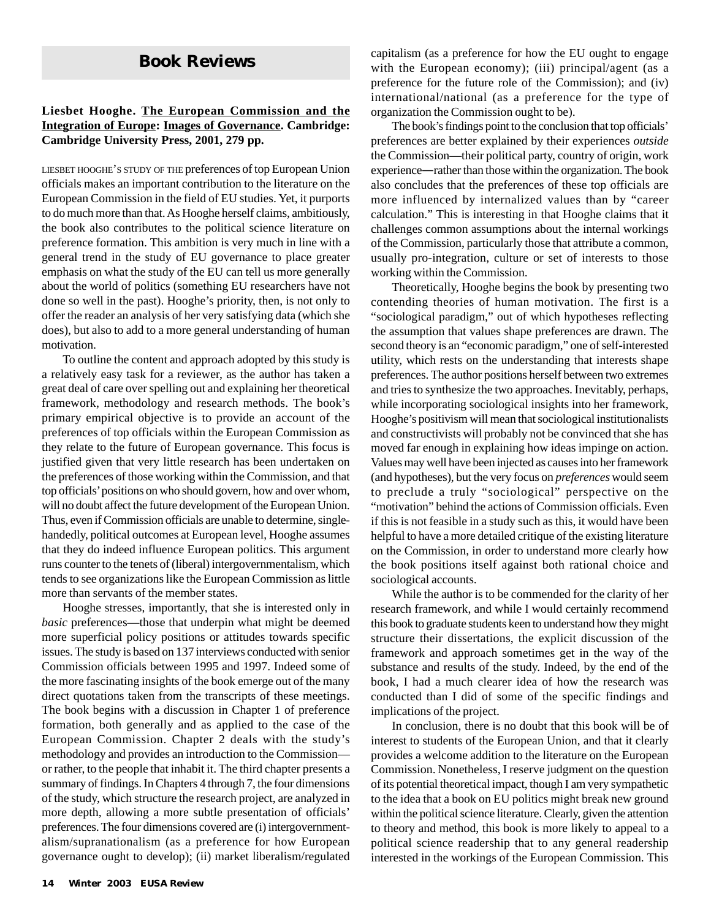### **Book Reviews**

#### **Liesbet Hooghe. The European Commission and the Integration of Europe: Images of Governance. Cambridge: Cambridge University Press, 2001, 279 pp.**

LIESBET HOOGHE'S STUDY OF THE preferences of top European Union officials makes an important contribution to the literature on the European Commission in the field of EU studies. Yet, it purports to do much more than that. As Hooghe herself claims, ambitiously, the book also contributes to the political science literature on preference formation. This ambition is very much in line with a general trend in the study of EU governance to place greater emphasis on what the study of the EU can tell us more generally about the world of politics (something EU researchers have not done so well in the past). Hooghe's priority, then, is not only to offer the reader an analysis of her very satisfying data (which she does), but also to add to a more general understanding of human motivation.

To outline the content and approach adopted by this study is a relatively easy task for a reviewer, as the author has taken a great deal of care over spelling out and explaining her theoretical framework, methodology and research methods. The book's primary empirical objective is to provide an account of the preferences of top officials within the European Commission as they relate to the future of European governance. This focus is justified given that very little research has been undertaken on the preferences of those working within the Commission, and that top officials' positions on who should govern, how and over whom, will no doubt affect the future development of the European Union. Thus, even if Commission officials are unable to determine, singlehandedly, political outcomes at European level, Hooghe assumes that they do indeed influence European politics. This argument runs counter to the tenets of (liberal) intergovernmentalism, which tends to see organizations like the European Commission as little more than servants of the member states.

Hooghe stresses, importantly, that she is interested only in *basic* preferences—those that underpin what might be deemed more superficial policy positions or attitudes towards specific issues. The study is based on 137 interviews conducted with senior Commission officials between 1995 and 1997. Indeed some of the more fascinating insights of the book emerge out of the many direct quotations taken from the transcripts of these meetings. The book begins with a discussion in Chapter 1 of preference formation, both generally and as applied to the case of the European Commission. Chapter 2 deals with the study's methodology and provides an introduction to the Commission or rather, to the people that inhabit it. The third chapter presents a summary of findings. In Chapters 4 through 7, the four dimensions of the study, which structure the research project, are analyzed in more depth, allowing a more subtle presentation of officials' preferences. The four dimensions covered are (i) intergovernmentalism/supranationalism (as a preference for how European governance ought to develop); (ii) market liberalism/regulated

capitalism (as a preference for how the EU ought to engage with the European economy); (iii) principal/agent (as a preference for the future role of the Commission); and (iv) international/national (as a preference for the type of organization the Commission ought to be).

The book's findings point to the conclusion that top officials' preferences are better explained by their experiences *outside* the Commission—their political party, country of origin, work experience—rather than those within the organization. The book also concludes that the preferences of these top officials are more influenced by internalized values than by "career calculation." This is interesting in that Hooghe claims that it challenges common assumptions about the internal workings of the Commission, particularly those that attribute a common, usually pro-integration, culture or set of interests to those working within the Commission.

Theoretically, Hooghe begins the book by presenting two contending theories of human motivation. The first is a "sociological paradigm," out of which hypotheses reflecting the assumption that values shape preferences are drawn. The second theory is an "economic paradigm," one of self-interested utility, which rests on the understanding that interests shape preferences. The author positions herself between two extremes and tries to synthesize the two approaches. Inevitably, perhaps, while incorporating sociological insights into her framework, Hooghe's positivism will mean that sociological institutionalists and constructivists will probably not be convinced that she has moved far enough in explaining how ideas impinge on action. Values may well have been injected as causes into her framework (and hypotheses), but the very focus on *preferences* would seem to preclude a truly "sociological" perspective on the "motivation" behind the actions of Commission officials. Even if this is not feasible in a study such as this, it would have been helpful to have a more detailed critique of the existing literature on the Commission, in order to understand more clearly how the book positions itself against both rational choice and sociological accounts.

While the author is to be commended for the clarity of her research framework, and while I would certainly recommend this book to graduate students keen to understand how they might structure their dissertations, the explicit discussion of the framework and approach sometimes get in the way of the substance and results of the study. Indeed, by the end of the book, I had a much clearer idea of how the research was conducted than I did of some of the specific findings and implications of the project.

In conclusion, there is no doubt that this book will be of interest to students of the European Union, and that it clearly provides a welcome addition to the literature on the European Commission. Nonetheless, I reserve judgment on the question of its potential theoretical impact, though I am very sympathetic to the idea that a book on EU politics might break new ground within the political science literature. Clearly, given the attention to theory and method, this book is more likely to appeal to a political science readership that to any general readership interested in the workings of the European Commission. This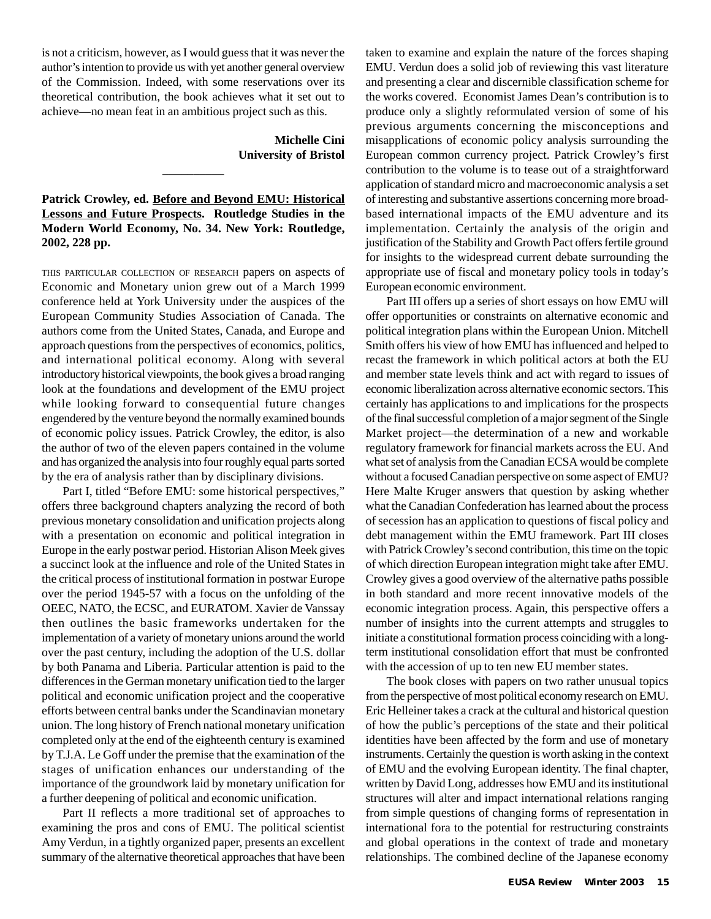is not a criticism, however, as I would guess that it was never the author's intention to provide us with yet another general overview of the Commission. Indeed, with some reservations over its theoretical contribution, the book achieves what it set out to achieve—no mean feat in an ambitious project such as this.

> **Michelle Cini University of Bristol**

#### **Patrick Crowley, ed. Before and Beyond EMU: Historical Lessons and Future Prospects. Routledge Studies in the Modern World Economy, No. 34. New York: Routledge, 2002, 228 pp.**

**\_\_\_\_\_\_\_\_\_\_**

THIS PARTICULAR COLLECTION OF RESEARCH papers on aspects of Economic and Monetary union grew out of a March 1999 conference held at York University under the auspices of the European Community Studies Association of Canada. The authors come from the United States, Canada, and Europe and approach questions from the perspectives of economics, politics, and international political economy. Along with several introductory historical viewpoints, the book gives a broad ranging look at the foundations and development of the EMU project while looking forward to consequential future changes engendered by the venture beyond the normally examined bounds of economic policy issues. Patrick Crowley, the editor, is also the author of two of the eleven papers contained in the volume and has organized the analysis into four roughly equal parts sorted by the era of analysis rather than by disciplinary divisions.

Part I, titled "Before EMU: some historical perspectives," offers three background chapters analyzing the record of both previous monetary consolidation and unification projects along with a presentation on economic and political integration in Europe in the early postwar period. Historian Alison Meek gives a succinct look at the influence and role of the United States in the critical process of institutional formation in postwar Europe over the period 1945-57 with a focus on the unfolding of the OEEC, NATO, the ECSC, and EURATOM. Xavier de Vanssay then outlines the basic frameworks undertaken for the implementation of a variety of monetary unions around the world over the past century, including the adoption of the U.S. dollar by both Panama and Liberia. Particular attention is paid to the differences in the German monetary unification tied to the larger political and economic unification project and the cooperative efforts between central banks under the Scandinavian monetary union. The long history of French national monetary unification completed only at the end of the eighteenth century is examined by T.J.A. Le Goff under the premise that the examination of the stages of unification enhances our understanding of the importance of the groundwork laid by monetary unification for a further deepening of political and economic unification.

Part II reflects a more traditional set of approaches to examining the pros and cons of EMU. The political scientist Amy Verdun, in a tightly organized paper, presents an excellent summary of the alternative theoretical approaches that have been taken to examine and explain the nature of the forces shaping EMU. Verdun does a solid job of reviewing this vast literature and presenting a clear and discernible classification scheme for the works covered. Economist James Dean's contribution is to produce only a slightly reformulated version of some of his previous arguments concerning the misconceptions and misapplications of economic policy analysis surrounding the European common currency project. Patrick Crowley's first contribution to the volume is to tease out of a straightforward application of standard micro and macroeconomic analysis a set of interesting and substantive assertions concerning more broadbased international impacts of the EMU adventure and its implementation. Certainly the analysis of the origin and justification of the Stability and Growth Pact offers fertile ground for insights to the widespread current debate surrounding the appropriate use of fiscal and monetary policy tools in today's European economic environment.

Part III offers up a series of short essays on how EMU will offer opportunities or constraints on alternative economic and political integration plans within the European Union. Mitchell Smith offers his view of how EMU has influenced and helped to recast the framework in which political actors at both the EU and member state levels think and act with regard to issues of economic liberalization across alternative economic sectors. This certainly has applications to and implications for the prospects of the final successful completion of a major segment of the Single Market project—the determination of a new and workable regulatory framework for financial markets across the EU. And what set of analysis from the Canadian ECSA would be complete without a focused Canadian perspective on some aspect of EMU? Here Malte Kruger answers that question by asking whether what the Canadian Confederation has learned about the process of secession has an application to questions of fiscal policy and debt management within the EMU framework. Part III closes with Patrick Crowley's second contribution, this time on the topic of which direction European integration might take after EMU. Crowley gives a good overview of the alternative paths possible in both standard and more recent innovative models of the economic integration process. Again, this perspective offers a number of insights into the current attempts and struggles to initiate a constitutional formation process coinciding with a longterm institutional consolidation effort that must be confronted with the accession of up to ten new EU member states.

The book closes with papers on two rather unusual topics from the perspective of most political economy research on EMU. Eric Helleiner takes a crack at the cultural and historical question of how the public's perceptions of the state and their political identities have been affected by the form and use of monetary instruments. Certainly the question is worth asking in the context of EMU and the evolving European identity. The final chapter, written by David Long, addresses how EMU and its institutional structures will alter and impact international relations ranging from simple questions of changing forms of representation in international fora to the potential for restructuring constraints and global operations in the context of trade and monetary relationships. The combined decline of the Japanese economy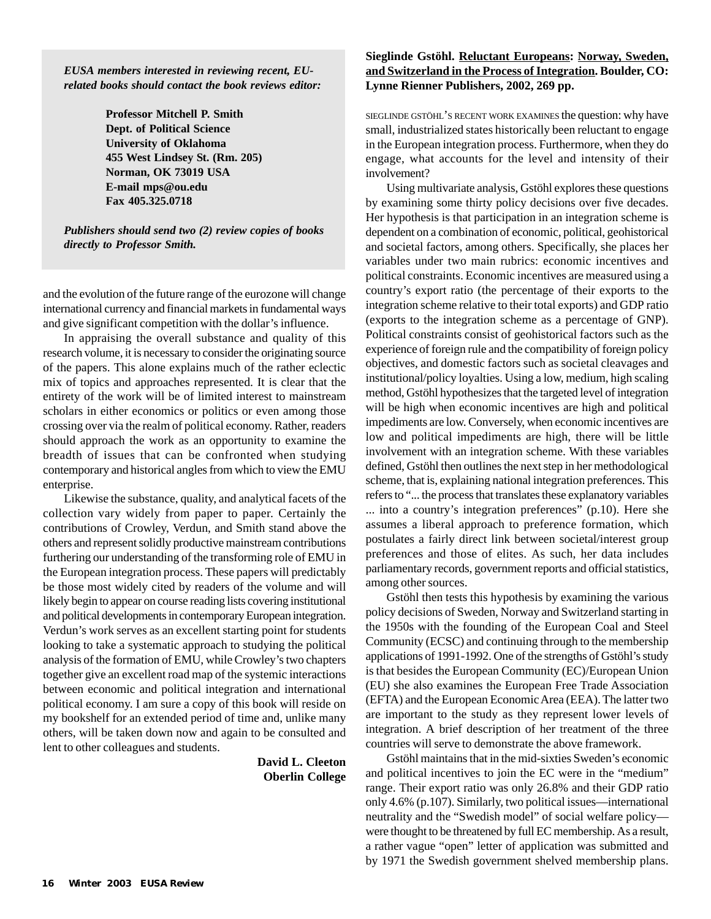*EUSA members interested in reviewing recent, EUrelated books should contact the book reviews editor:*

> **Professor Mitchell P. Smith Dept. of Political Science University of Oklahoma 455 West Lindsey St. (Rm. 205) Norman, OK 73019 USA E-mail mps@ou.edu Fax 405.325.0718**

*Publishers should send two (2) review copies of books directly to Professor Smith.*

and the evolution of the future range of the eurozone will change international currency and financial markets in fundamental ways and give significant competition with the dollar's influence.

In appraising the overall substance and quality of this research volume, it is necessary to consider the originating source of the papers. This alone explains much of the rather eclectic mix of topics and approaches represented. It is clear that the entirety of the work will be of limited interest to mainstream scholars in either economics or politics or even among those crossing over via the realm of political economy. Rather, readers should approach the work as an opportunity to examine the breadth of issues that can be confronted when studying contemporary and historical angles from which to view the EMU enterprise.

Likewise the substance, quality, and analytical facets of the collection vary widely from paper to paper. Certainly the contributions of Crowley, Verdun, and Smith stand above the others and represent solidly productive mainstream contributions furthering our understanding of the transforming role of EMU in the European integration process. These papers will predictably be those most widely cited by readers of the volume and will likely begin to appear on course reading lists covering institutional and political developments in contemporary European integration. Verdun's work serves as an excellent starting point for students looking to take a systematic approach to studying the political analysis of the formation of EMU, while Crowley's two chapters together give an excellent road map of the systemic interactions between economic and political integration and international political economy. I am sure a copy of this book will reside on my bookshelf for an extended period of time and, unlike many others, will be taken down now and again to be consulted and lent to other colleagues and students.

> **David L. Cleeton Oberlin College**

#### **Sieglinde Gstöhl. Reluctant Europeans: Norway, Sweden, and Switzerland in the Process of Integration. Boulder, CO: Lynne Rienner Publishers, 2002, 269 pp.**

SIEGLINDE GSTÖHL'S RECENT WORK EXAMINES the question: why have small, industrialized states historically been reluctant to engage in the European integration process. Furthermore, when they do engage, what accounts for the level and intensity of their involvement?

Using multivariate analysis, Gstöhl explores these questions by examining some thirty policy decisions over five decades. Her hypothesis is that participation in an integration scheme is dependent on a combination of economic, political, geohistorical and societal factors, among others. Specifically, she places her variables under two main rubrics: economic incentives and political constraints. Economic incentives are measured using a country's export ratio (the percentage of their exports to the integration scheme relative to their total exports) and GDP ratio (exports to the integration scheme as a percentage of GNP). Political constraints consist of geohistorical factors such as the experience of foreign rule and the compatibility of foreign policy objectives, and domestic factors such as societal cleavages and institutional/policy loyalties. Using a low, medium, high scaling method, Gstöhl hypothesizes that the targeted level of integration will be high when economic incentives are high and political impediments are low. Conversely, when economic incentives are low and political impediments are high, there will be little involvement with an integration scheme. With these variables defined, Gstöhl then outlines the next step in her methodological scheme, that is, explaining national integration preferences. This refers to "... the process that translates these explanatory variables ... into a country's integration preferences" (p.10). Here she assumes a liberal approach to preference formation, which postulates a fairly direct link between societal/interest group preferences and those of elites. As such, her data includes parliamentary records, government reports and official statistics, among other sources.

Gstöhl then tests this hypothesis by examining the various policy decisions of Sweden, Norway and Switzerland starting in the 1950s with the founding of the European Coal and Steel Community (ECSC) and continuing through to the membership applications of 1991-1992. One of the strengths of Gstöhl's study is that besides the European Community (EC)/European Union (EU) she also examines the European Free Trade Association (EFTA) and the European Economic Area (EEA). The latter two are important to the study as they represent lower levels of integration. A brief description of her treatment of the three countries will serve to demonstrate the above framework.

Gstöhl maintains that in the mid-sixties Sweden's economic and political incentives to join the EC were in the "medium" range. Their export ratio was only 26.8% and their GDP ratio only 4.6% (p.107). Similarly, two political issues—international neutrality and the "Swedish model" of social welfare policy were thought to be threatened by full EC membership. As a result, a rather vague "open" letter of application was submitted and by 1971 the Swedish government shelved membership plans.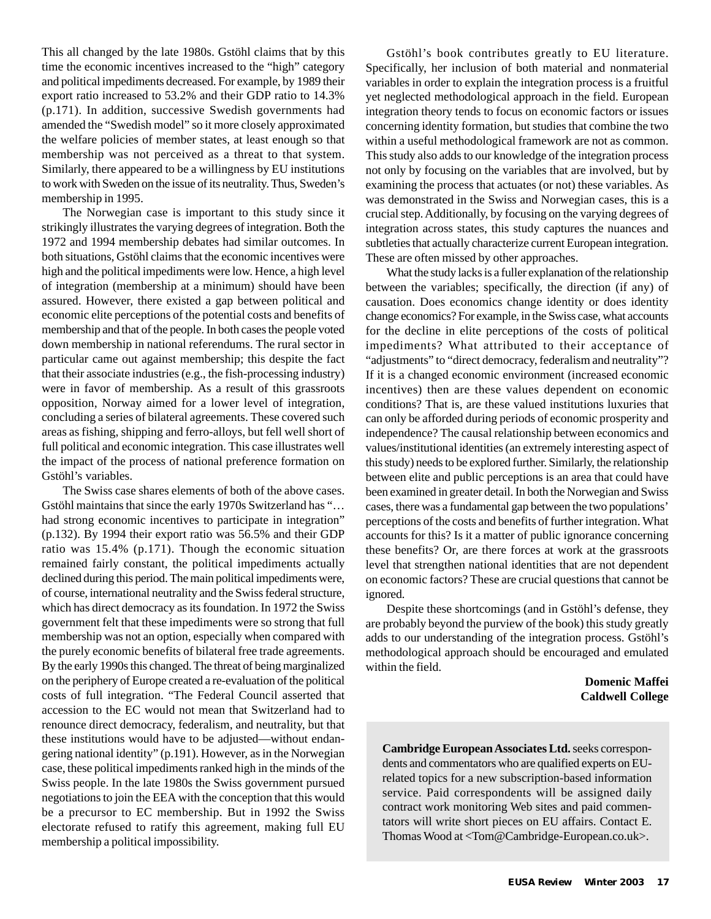This all changed by the late 1980s. Gstöhl claims that by this time the economic incentives increased to the "high" category and political impediments decreased. For example, by 1989 their export ratio increased to 53.2% and their GDP ratio to 14.3% (p.171). In addition, successive Swedish governments had amended the "Swedish model" so it more closely approximated the welfare policies of member states, at least enough so that membership was not perceived as a threat to that system. Similarly, there appeared to be a willingness by EU institutions to work with Sweden on the issue of its neutrality. Thus, Sweden's membership in 1995.

The Norwegian case is important to this study since it strikingly illustrates the varying degrees of integration. Both the 1972 and 1994 membership debates had similar outcomes. In both situations, Gstöhl claims that the economic incentives were high and the political impediments were low. Hence, a high level of integration (membership at a minimum) should have been assured. However, there existed a gap between political and economic elite perceptions of the potential costs and benefits of membership and that of the people. In both cases the people voted down membership in national referendums. The rural sector in particular came out against membership; this despite the fact that their associate industries (e.g., the fish-processing industry) were in favor of membership. As a result of this grassroots opposition, Norway aimed for a lower level of integration, concluding a series of bilateral agreements. These covered such areas as fishing, shipping and ferro-alloys, but fell well short of full political and economic integration. This case illustrates well the impact of the process of national preference formation on Gstöhl's variables.

The Swiss case shares elements of both of the above cases. Gstöhl maintains that since the early 1970s Switzerland has "… had strong economic incentives to participate in integration" (p.132). By 1994 their export ratio was 56.5% and their GDP ratio was 15.4% (p.171). Though the economic situation remained fairly constant, the political impediments actually declined during this period. The main political impediments were, of course, international neutrality and the Swiss federal structure, which has direct democracy as its foundation. In 1972 the Swiss government felt that these impediments were so strong that full membership was not an option, especially when compared with the purely economic benefits of bilateral free trade agreements. By the early 1990s this changed. The threat of being marginalized on the periphery of Europe created a re-evaluation of the political costs of full integration. "The Federal Council asserted that accession to the EC would not mean that Switzerland had to renounce direct democracy, federalism, and neutrality, but that these institutions would have to be adjusted—without endangering national identity" (p.191). However, as in the Norwegian case, these political impediments ranked high in the minds of the Swiss people. In the late 1980s the Swiss government pursued negotiations to join the EEA with the conception that this would be a precursor to EC membership. But in 1992 the Swiss electorate refused to ratify this agreement, making full EU membership a political impossibility.

Gstöhl's book contributes greatly to EU literature. Specifically, her inclusion of both material and nonmaterial variables in order to explain the integration process is a fruitful yet neglected methodological approach in the field. European integration theory tends to focus on economic factors or issues concerning identity formation, but studies that combine the two within a useful methodological framework are not as common. This study also adds to our knowledge of the integration process not only by focusing on the variables that are involved, but by examining the process that actuates (or not) these variables. As was demonstrated in the Swiss and Norwegian cases, this is a crucial step. Additionally, by focusing on the varying degrees of integration across states, this study captures the nuances and subtleties that actually characterize current European integration. These are often missed by other approaches.

What the study lacks is a fuller explanation of the relationship between the variables; specifically, the direction (if any) of causation. Does economics change identity or does identity change economics? For example, in the Swiss case, what accounts for the decline in elite perceptions of the costs of political impediments? What attributed to their acceptance of "adjustments" to "direct democracy, federalism and neutrality"? If it is a changed economic environment (increased economic incentives) then are these values dependent on economic conditions? That is, are these valued institutions luxuries that can only be afforded during periods of economic prosperity and independence? The causal relationship between economics and values/institutional identities (an extremely interesting aspect of this study) needs to be explored further. Similarly, the relationship between elite and public perceptions is an area that could have been examined in greater detail. In both the Norwegian and Swiss cases, there was a fundamental gap between the two populations' perceptions of the costs and benefits of further integration. What accounts for this? Is it a matter of public ignorance concerning these benefits? Or, are there forces at work at the grassroots level that strengthen national identities that are not dependent on economic factors? These are crucial questions that cannot be ignored.

Despite these shortcomings (and in Gstöhl's defense, they are probably beyond the purview of the book) this study greatly adds to our understanding of the integration process. Gstöhl's methodological approach should be encouraged and emulated within the field.

**Domenic Maffei Caldwell College**

**Cambridge European Associates Ltd.** seeks correspondents and commentators who are qualified experts on EUrelated topics for a new subscription-based information service. Paid correspondents will be assigned daily contract work monitoring Web sites and paid commentators will write short pieces on EU affairs. Contact E. Thomas Wood at <Tom@Cambridge-European.co.uk>.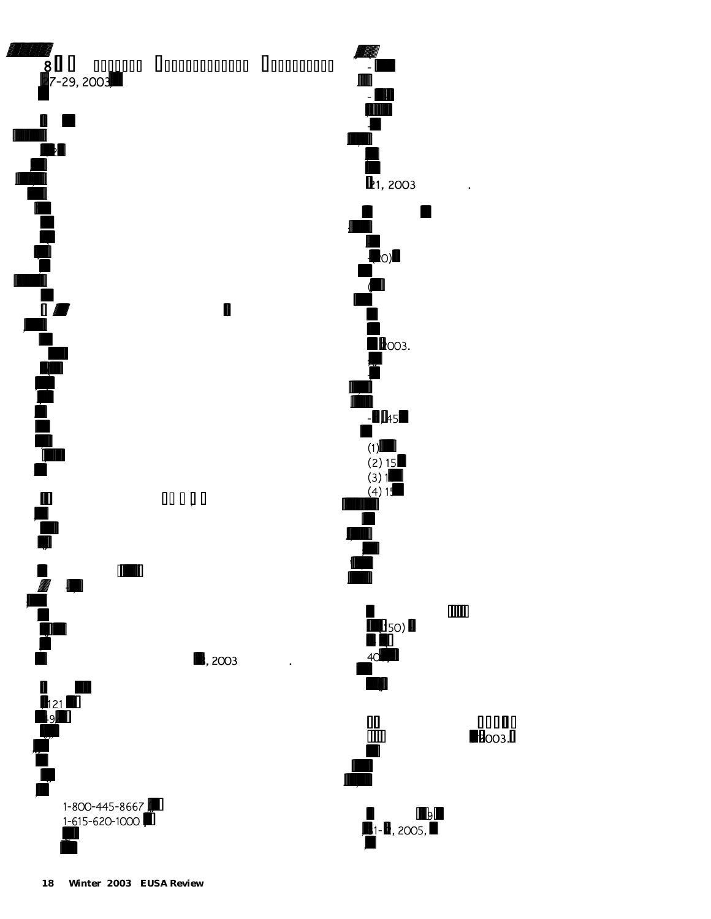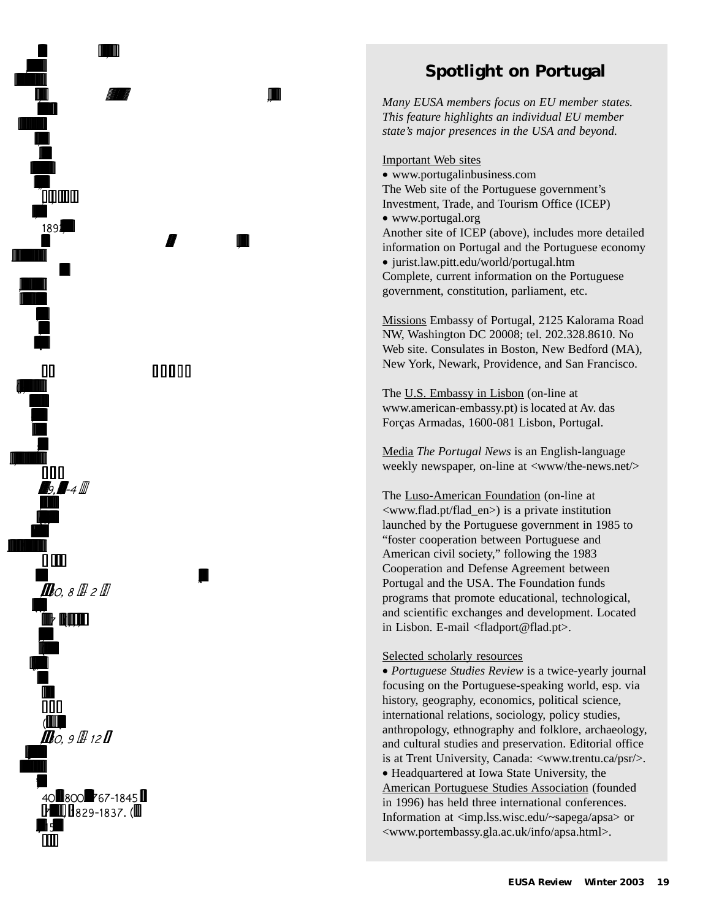

*Many EUSA members focus on EU member states. This feature highlights an individual EU member state's major presences in the USA and beyond.*

Important Web sites

,

, and the  $\mathbb{Z}$  state  $\mathbb{Z}$  , and the  $\mathbb{Z}$ 

,

nnnnn

 , . Õ

> .  $\blacksquare$  $\mathbf I$  $\mathbb{L}$  $\blacksquare$

> > , , , , , , , , , , ,

 $1892$ 

I

,

.

 , . - , , .  $\blacksquare$ 

 $\mathbf i$ H  $\mathbf{I}$  . ; Õ  $\mathbb{I}$  ,  $\mathbb{I}$ 

> 00  $29. 7 - 41$

 $\parallel$  1-. - **.**  $\Box$ 

 $\overline{\mathbb{I}}$   $\mathbb{I}$ 

 $\blacksquare$ 

 ),  $\mathbb{R}$  $\parallel$  . . . 00  $\langle \blacksquare$ 

 $\mathcal{N}$ **Fill**  $\blacksquare$ 

> $\mathbf{h}$  15  $\mathbf{f}$ ..

 $I\!\!I\!\!I$ o. 8  $I\!\!I\!\!I$  2  $I\!\!I$ 

 $\overline{\mathbf{u}}$ 6. 9 $\mathbb{F}$  12 $\mathbf{u}$ 

 $40$   $800$   $767-1845$  $\mathbb{F}$  0829-1837. (0

 $\mathbb{R}$ , matrix

Õ (, )

• www.portugalinbusiness.com The Web site of the Portuguese government's Investment, Trade, and Tourism Office (ICEP) • www.portugal.org Another site of ICEP (above), includes more detailed information on Portugal and the Portuguese economy • jurist.law.pitt.edu/world/portugal.htm Complete, current information on the Portuguese government, constitution, parliament, etc.

Missions Embassy of Portugal, 2125 Kalorama Road NW, Washington DC 20008; tel. 202.328.8610. No Web site. Consulates in Boston, New Bedford (MA), New York, Newark, Providence, and San Francisco.

The U.S. Embassy in Lisbon (on-line at www.american-embassy.pt) is located at Av. das Forças Armadas, 1600-081 Lisbon, Portugal.

Media *The Portugal News* is an English-language weekly newspaper, on-line at <www/the-news.net/>

The Luso-American Foundation (on-line at <www.flad.pt/flad\_en>) is a private institution launched by the Portuguese government in 1985 to "foster cooperation between Portuguese and American civil society," following the 1983 Cooperation and Defense Agreement between Portugal and the USA. The Foundation funds programs that promote educational, technological, and scientific exchanges and development. Located in Lisbon. E-mail <fladport@flad.pt>.

#### Selected scholarly resources

• *Portuguese Studies Review* is a twice-yearly journal focusing on the Portuguese-speaking world, esp. via history, geography, economics, political science, international relations, sociology, policy studies, anthropology, ethnography and folklore, archaeology, and cultural studies and preservation. Editorial office is at Trent University, Canada: <www.trentu.ca/psr/>. • Headquartered at Iowa State University, the American Portuguese Studies Association (founded in 1996) has held three international conferences. Information at <imp.lss.wisc.edu/~sapega/apsa> or <www.portembassy.gla.ac.uk/info/apsa.html>.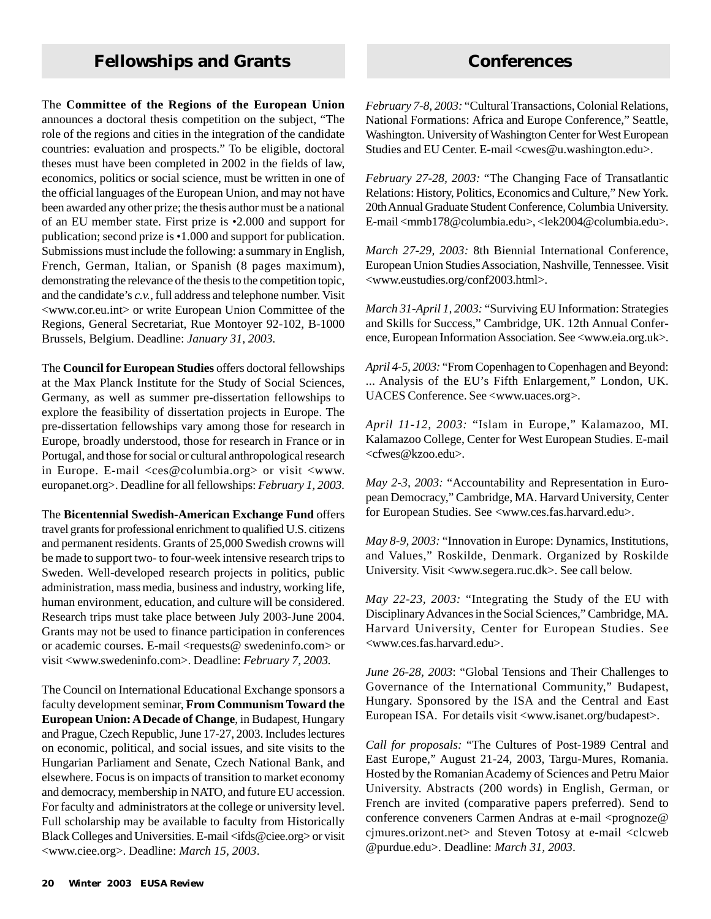### **Fellowships and Grants Conferences**

The **Committee of the Regions of the European Union** announces a doctoral thesis competition on the subject, "The role of the regions and cities in the integration of the candidate countries: evaluation and prospects." To be eligible, doctoral theses must have been completed in 2002 in the fields of law, economics, politics or social science, must be written in one of the official languages of the European Union, and may not have been awarded any other prize; the thesis author must be a national of an EU member state. First prize is •2.000 and support for publication; second prize is •1.000 and support for publication. Submissions must include the following: a summary in English, French, German, Italian, or Spanish (8 pages maximum), demonstrating the relevance of the thesis to the competition topic, and the candidate's *c.v.*, full address and telephone number. Visit <www.cor.eu.int> or write European Union Committee of the Regions, General Secretariat, Rue Montoyer 92-102, B-1000 Brussels, Belgium. Deadline: *January 31, 2003.*

The **Council for European Studies** offers doctoral fellowships at the Max Planck Institute for the Study of Social Sciences, Germany, as well as summer pre-dissertation fellowships to explore the feasibility of dissertation projects in Europe. The pre-dissertation fellowships vary among those for research in Europe, broadly understood, those for research in France or in Portugal, and those for social or cultural anthropological research in Europe. E-mail <ces@columbia.org> or visit <www. europanet.org>. Deadline for all fellowships: *February 1, 2003.*

The **Bicentennial Swedish-American Exchange Fund** offers travel grants for professional enrichment to qualified U.S. citizens and permanent residents. Grants of 25,000 Swedish crowns will be made to support two- to four-week intensive research trips to Sweden. Well-developed research projects in politics, public administration, mass media, business and industry, working life, human environment, education, and culture will be considered. Research trips must take place between July 2003-June 2004. Grants may not be used to finance participation in conferences or academic courses. E-mail <requests@ swedeninfo.com> or visit <www.swedeninfo.com>. Deadline: *February 7, 2003.*

The Council on International Educational Exchange sponsors a faculty development seminar, **From Communism Toward the European Union: A Decade of Change**, in Budapest, Hungary and Prague, Czech Republic, June 17-27, 2003. Includes lectures on economic, political, and social issues, and site visits to the Hungarian Parliament and Senate, Czech National Bank, and elsewhere. Focus is on impacts of transition to market economy and democracy, membership in NATO, and future EU accession. For faculty and administrators at the college or university level. Full scholarship may be available to faculty from Historically Black Colleges and Universities. E-mail <ifds@ciee.org> or visit <www.ciee.org>. Deadline: *March 15, 2003*.

*February 7-8, 2003:* "Cultural Transactions, Colonial Relations, National Formations: Africa and Europe Conference," Seattle, Washington. University of Washington Center for West European Studies and EU Center. E-mail <cwes@u.washington.edu>.

*February 27-28, 2003:* "The Changing Face of Transatlantic Relations: History, Politics, Economics and Culture," New York. 20th Annual Graduate Student Conference, Columbia University. E-mail <mmb178@columbia.edu>, <lek2004@columbia.edu>.

*March 27-29, 2003:* 8th Biennial International Conference, European Union Studies Association, Nashville, Tennessee. Visit <www.eustudies.org/conf2003.html>.

*March 31-April 1, 2003:* "Surviving EU Information: Strategies and Skills for Success," Cambridge, UK. 12th Annual Conference, European Information Association. See <www.eia.org.uk>.

*April 4-5, 2003:* "From Copenhagen to Copenhagen and Beyond: ... Analysis of the EU's Fifth Enlargement," London, UK. UACES Conference. See <www.uaces.org>.

*April 11-12, 2003:* "Islam in Europe," Kalamazoo, MI. Kalamazoo College, Center for West European Studies. E-mail <cfwes@kzoo.edu>.

*May 2-3, 2003:* "Accountability and Representation in European Democracy," Cambridge, MA. Harvard University, Center for European Studies. See <www.ces.fas.harvard.edu>.

*May 8-9, 2003:* "Innovation in Europe: Dynamics, Institutions, and Values," Roskilde, Denmark. Organized by Roskilde University. Visit <www.segera.ruc.dk>. See call below.

*May 22-23, 2003:* "Integrating the Study of the EU with Disciplinary Advances in the Social Sciences," Cambridge, MA. Harvard University, Center for European Studies. See <www.ces.fas.harvard.edu>.

*June 26-28, 2003*: "Global Tensions and Their Challenges to Governance of the International Community," Budapest, Hungary. Sponsored by the ISA and the Central and East European ISA. For details visit <www.isanet.org/budapest>.

*Call for proposals:* "The Cultures of Post-1989 Central and East Europe," August 21-24, 2003, Targu-Mures, Romania. Hosted by the Romanian Academy of Sciences and Petru Maior University. Abstracts (200 words) in English, German, or French are invited (comparative papers preferred). Send to conference conveners Carmen Andras at e-mail <prognoze@ cjmures.orizont.net> and Steven Totosy at e-mail <clcweb @purdue.edu>. Deadline: *March 31, 2003*.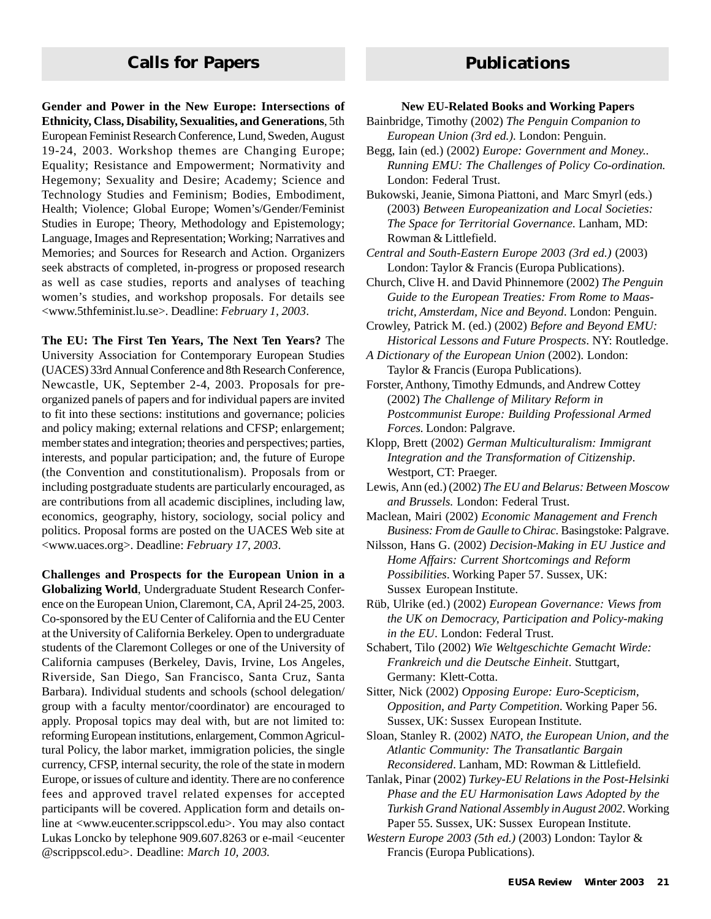### **Calls for Papers**

 $\bf{Ethnicity}, Class, Disability, Sexualities, and Generations, 5th$ **Gender and Power in the New Europe: Intersections of** European Feminist Research Conference, Lund, Sweden, August 19-24, 2003. Workshop themes are Changing Europe; Equality; Resistance and Empowerment; Normativity and Hegemony; Sexuality and Desire; Academy; Science and Technology Studies and Feminism; Bodies, Embodiment, Health; Violence; Global Europe; Women's/Gender/Feminist Studies in Europe; Theory, Methodology and Epistemology; Language, Images and Representation; Working; Narratives and Memories; and Sources for Research and Action. Organizers seek abstracts of completed, in-progress or proposed research as well as case studies, reports and analyses of teaching women's studies, and workshop proposals. For details see <www.5thfeminist.lu.se>. Deadline: *February 1, 2003*.

**The EU: The First Ten Years, The Next Ten Years?** The University Association for Contemporary European Studies (UACES) 33rd Annual Conference and 8th Research Conference, Newcastle, UK, September 2-4, 2003. Proposals for preorganized panels of papers and for individual papers are invited to fit into these sections: institutions and governance; policies and policy making; external relations and CFSP; enlargement; member states and integration; theories and perspectives; parties, interests, and popular participation; and, the future of Europe (the Convention and constitutionalism). Proposals from or including postgraduate students are particularly encouraged, as are contributions from all academic disciplines, including law, economics, geography, history, sociology, social policy and politics. Proposal forms are posted on the UACES Web site at <www.uaces.org>. Deadline: *February 17, 2003*.

**Challenges and Prospects for the European Union in a Globalizing World**, Undergraduate Student Research Conference on the European Union, Claremont, CA, April 24-25, 2003. Co-sponsored by the EU Center of California and the EU Center at the University of California Berkeley. Open to undergraduate students of the Claremont Colleges or one of the University of California campuses (Berkeley, Davis, Irvine, Los Angeles, Riverside, San Diego, San Francisco, Santa Cruz, Santa Barbara). Individual students and schools (school delegation/ group with a faculty mentor/coordinator) are encouraged to apply. Proposal topics may deal with, but are not limited to: reforming European institutions, enlargement, Common Agricultural Policy, the labor market, immigration policies, the single currency, CFSP, internal security, the role of the state in modern Europe, or issues of culture and identity. There are no conference fees and approved travel related expenses for accepted participants will be covered. Application form and details online at <www.eucenter.scrippscol.edu>. You may also contact Lukas Loncko by telephone 909.607.8263 or e-mail <eucenter @scrippscol.edu>. Deadline: *March 10, 2003.*

### **Publications**

#### **New EU-Related Books and Working Papers**

- Bainbridge, Timothy (2002) *The Penguin Companion to European Union (3rd ed.).* London: Penguin.
- Begg, Iain (ed.) (2002) *Europe: Government and Money.. Running EMU: The Challenges of Policy Co-ordination.* London: Federal Trust.

Bukowski, Jeanie, Simona Piattoni, and Marc Smyrl (eds.) (2003) *Between Europeanization and Local Societies: The Space for Territorial Governance*. Lanham, MD: Rowman & Littlefield.

*Central and South-Eastern Europe 2003 (3rd ed.)* (2003) London: Taylor & Francis (Europa Publications).

Church, Clive H. and David Phinnemore (2002) *The Penguin Guide to the European Treaties: From Rome to Maastricht, Amsterdam, Nice and Beyond*. London: Penguin.

Crowley, Patrick M. (ed.) (2002) *Before and Beyond EMU: Historical Lessons and Future Prospects*. NY: Routledge.

*A Dictionary of the European Union* (2002). London: Taylor & Francis (Europa Publications).

Forster, Anthony, Timothy Edmunds, and Andrew Cottey (2002) *The Challenge of Military Reform in Postcommunist Europe: Building Professional Armed Forces.* London: Palgrave.

Klopp, Brett (2002) *German Multiculturalism: Immigrant Integration and the Transformation of Citizenship*. Westport, CT: Praeger.

Lewis, Ann (ed.) (2002) *The EU and Belarus: Between Moscow and Brussels.* London: Federal Trust.

Maclean, Mairi (2002) *Economic Management and French Business: From de Gaulle to Chirac.* Basingstoke: Palgrave.

Nilsson, Hans G. (2002) *Decision-Making in EU Justice and Home Affairs: Current Shortcomings and Reform Possibilities*. Working Paper 57. Sussex, UK: Sussex European Institute.

Rüb, Ulrike (ed.) (2002) *European Governance: Views from the UK on Democracy, Participation and Policy-making in the EU*. London: Federal Trust.

Schabert, Tilo (2002) *Wie Weltgeschichte Gemacht Wirde: Frankreich und die Deutsche Einheit*. Stuttgart, Germany: Klett-Cotta.

Sitter, Nick (2002) *Opposing Europe: Euro-Scepticism, Opposition, and Party Competition*. Working Paper 56. Sussex, UK: Sussex European Institute.

Sloan, Stanley R. (2002) *NATO, the European Union, and the Atlantic Community: The Transatlantic Bargain Reconsidered*. Lanham, MD: Rowman & Littlefield.

Tanlak, Pinar (2002) *Turkey-EU Relations in the Post-Helsinki Phase and the EU Harmonisation Laws Adopted by the Turkish Grand National Assembly in August 2002*. Working Paper 55. Sussex, UK: Sussex European Institute.

*Western Europe 2003 (5th ed.)* (2003) London: Taylor & Francis (Europa Publications).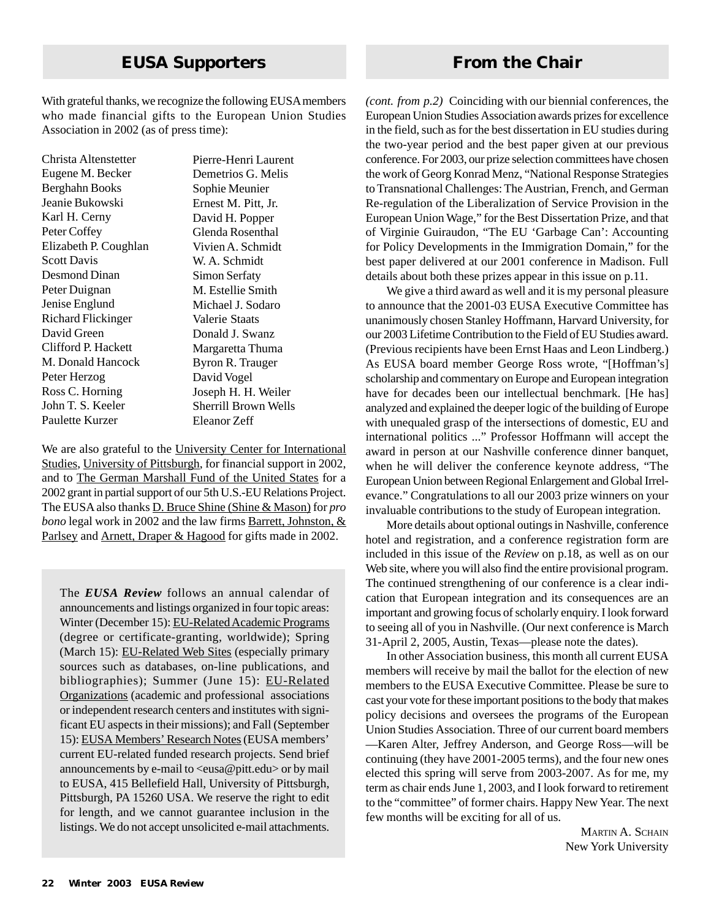### **EUSA Supporters**

With grateful thanks, we recognize the following EUSA members who made financial gifts to the European Union Studies Association in 2002 (as of press time):

| Christa Altenstetter       |
|----------------------------|
| Eugene M. Becker           |
| Berghahn Books             |
| Jeanie Bukowski            |
| Karl H. Cerny              |
| Peter Coffey               |
| Elizabeth P. Coughlan      |
| <b>Scott Davis</b>         |
| Desmond Dinan              |
| Peter Duignan              |
| Jenise Englund             |
| Richard Flickinger         |
| David Green                |
| <b>Clifford P. Hackett</b> |
| M. Donald Hancock          |
| Peter Herzog               |
| Ross C. Horning            |
| John T. S. Keeler          |
| Paulette Kurzer            |
|                            |

Pierre-Henri Laurent Demetrios G. Melis Sophie Meunier Ernest M. Pitt, Jr. David H. Popper Glenda Rosenthal Vivien A. Schmidt W. A. Schmidt Simon Serfaty M. Estellie Smith Michael J. Sodaro Valerie Staats Donald J. Swanz Margaretta Thuma Byron R. Trauger David Vogel Joseph H. H. Weiler Sherrill Brown Wells Eleanor Zeff

We are also grateful to the University Center for International Studies, University of Pittsburgh, for financial support in 2002, and to The German Marshall Fund of the United States for a 2002 grant in partial support of our 5th U.S.-EU Relations Project. The EUSA also thanks D. Bruce Shine (Shine & Mason) for *pro bono* legal work in 2002 and the law firms Barrett, Johnston, & Parlsey and Arnett, Draper & Hagood for gifts made in 2002.

The *EUSA Review* follows an annual calendar of announcements and listings organized in four topic areas: Winter (December 15): EU-Related Academic Programs (degree or certificate-granting, worldwide); Spring (March 15): EU-Related Web Sites (especially primary sources such as databases, on-line publications, and bibliographies); Summer (June 15): EU-Related Organizations (academic and professional associations or independent research centers and institutes with significant EU aspects in their missions); and Fall (September 15): EUSA Members' Research Notes (EUSA members' current EU-related funded research projects. Send brief announcements by e-mail to  $\langle e$ usa@pitt.edu $\rangle$  or by mail to EUSA, 415 Bellefield Hall, University of Pittsburgh, Pittsburgh, PA 15260 USA. We reserve the right to edit for length, and we cannot guarantee inclusion in the listings. We do not accept unsolicited e-mail attachments. *(cont. from p.2)* Coinciding with our biennial conferences, the European Union Studies Association awards prizes for excellence in the field, such as for the best dissertation in EU studies during the two-year period and the best paper given at our previous conference. For 2003, our prize selection committees have chosen the work of Georg Konrad Menz, "National Response Strategies to Transnational Challenges: The Austrian, French, and German Re-regulation of the Liberalization of Service Provision in the European Union Wage," for the Best Dissertation Prize, and that of Virginie Guiraudon, "The EU 'Garbage Can': Accounting for Policy Developments in the Immigration Domain," for the best paper delivered at our 2001 conference in Madison. Full details about both these prizes appear in this issue on p.11.

We give a third award as well and it is my personal pleasure to announce that the 2001-03 EUSA Executive Committee has unanimously chosen Stanley Hoffmann, Harvard University, for our 2003 Lifetime Contribution to the Field of EU Studies award. (Previous recipients have been Ernst Haas and Leon Lindberg.) As EUSA board member George Ross wrote, "[Hoffman's] scholarship and commentary on Europe and European integration have for decades been our intellectual benchmark. [He has] analyzed and explained the deeper logic of the building of Europe with unequaled grasp of the intersections of domestic, EU and international politics ..." Professor Hoffmann will accept the award in person at our Nashville conference dinner banquet, when he will deliver the conference keynote address, "The European Union between Regional Enlargement and Global Irrelevance." Congratulations to all our 2003 prize winners on your invaluable contributions to the study of European integration.

More details about optional outings in Nashville, conference hotel and registration, and a conference registration form are included in this issue of the *Review* on p.18, as well as on our Web site, where you will also find the entire provisional program. The continued strengthening of our conference is a clear indication that European integration and its consequences are an important and growing focus of scholarly enquiry. I look forward to seeing all of you in Nashville. (Our next conference is March 31-April 2, 2005, Austin, Texas—please note the dates).

In other Association business, this month all current EUSA members will receive by mail the ballot for the election of new members to the EUSA Executive Committee. Please be sure to cast your vote for these important positions to the body that makes policy decisions and oversees the programs of the European Union Studies Association. Three of our current board members —Karen Alter, Jeffrey Anderson, and George Ross—will be continuing (they have 2001-2005 terms), and the four new ones elected this spring will serve from 2003-2007. As for me, my term as chair ends June 1, 2003, and I look forward to retirement to the "committee" of former chairs. Happy New Year. The next few months will be exciting for all of us.

> MARTIN A. SCHAIN New York University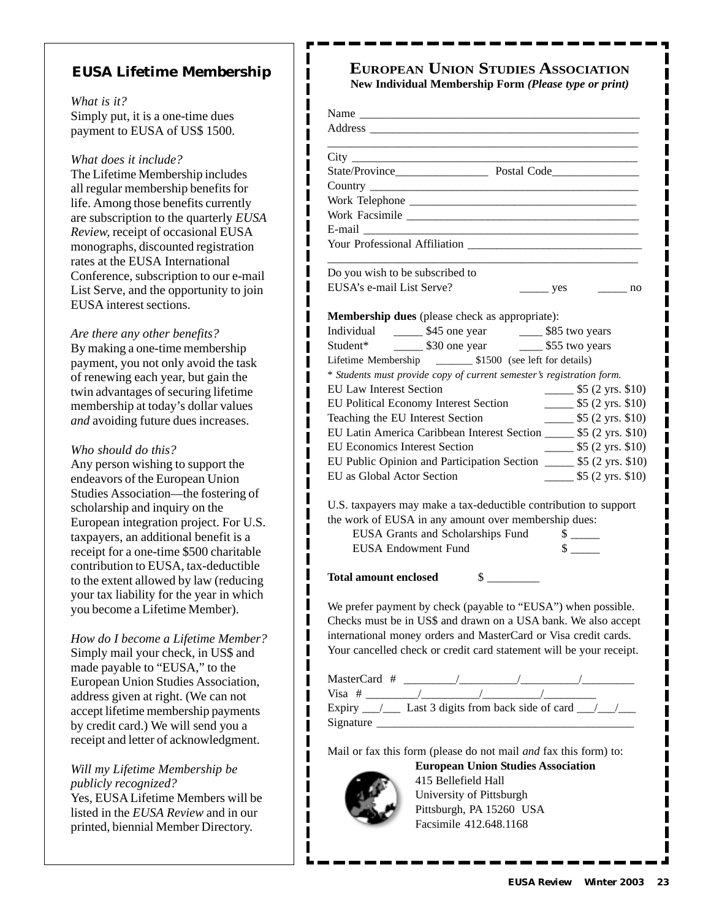### **EUSA Lifetime Membership**

ı п

*What is it?* Simply put, it is a one-time dues payment to EUSA of US\$ 1500.

#### *What does it include?*

The Lifetime Membership includes all regular membership benefits for life. Among those benefits currently are subscription to the quarterly *EUSA Review,* receipt of occasional EUSA monographs, discounted registration rates at the EUSA International Conference, subscription to our e-mail List Serve, and the opportunity to join EUSA interest sections.

#### *Are there any other benefits?*

By making a one-time membership payment, you not only avoid the task of renewing each year, but gain the twin advantages of securing lifetime membership at today's dollar values *and* avoiding future dues increases.

#### *Who should do this?*

Any person wishing to support the endeavors of the European Union Studies Association—the fostering of scholarship and inquiry on the European integration project. For U.S. taxpayers, an additional benefit is a receipt for a one-time \$500 charitable contribution to EUSA, tax-deductible to the extent allowed by law (reducing your tax liability for the year in which you become a Lifetime Member).

*How do I become a Lifetime Member?* Simply mail your check, in US\$ and made payable to "EUSA," to the European Union Studies Association, address given at right. (We can not accept lifetime membership payments by credit card.) We will send you a receipt and letter of acknowledgment.

*Will my Lifetime Membership be publicly recognized?* Yes, EUSA Lifetime Members will be listed in the *EUSA Review* and in our printed, biennial Member Directory.

### **EUROPEAN UNION STUDIES ASSOCIATION**

**New Individual Membership Form** *(Please type or print)*

| yes<br>$\sim$ no<br>* Students must provide copy of current semester's registration form.<br>$\frac{1}{2}$ \$5 (2 yrs. \$10)<br>$\frac{\ }{2}$ \$5 (2 yrs. \$10)<br>$\frac{\ }{2}$ \$5 (2 yrs. \$10)<br>EU Latin America Caribbean Interest Section ______ \$5 (2 yrs. \$10)<br>$\frac{\$5 (2 \text{ yrs. } $10)}{2 \text{ yrs. } $10}$<br>EU Public Opinion and Participation Section ______ \$5 (2 yrs. \$10)<br>$\frac{\ }{2}$ \$5 (2 yrs. \$10) |
|-----------------------------------------------------------------------------------------------------------------------------------------------------------------------------------------------------------------------------------------------------------------------------------------------------------------------------------------------------------------------------------------------------------------------------------------------------|
|                                                                                                                                                                                                                                                                                                                                                                                                                                                     |
|                                                                                                                                                                                                                                                                                                                                                                                                                                                     |
|                                                                                                                                                                                                                                                                                                                                                                                                                                                     |
|                                                                                                                                                                                                                                                                                                                                                                                                                                                     |
|                                                                                                                                                                                                                                                                                                                                                                                                                                                     |
|                                                                                                                                                                                                                                                                                                                                                                                                                                                     |
|                                                                                                                                                                                                                                                                                                                                                                                                                                                     |
|                                                                                                                                                                                                                                                                                                                                                                                                                                                     |
|                                                                                                                                                                                                                                                                                                                                                                                                                                                     |
|                                                                                                                                                                                                                                                                                                                                                                                                                                                     |
|                                                                                                                                                                                                                                                                                                                                                                                                                                                     |
|                                                                                                                                                                                                                                                                                                                                                                                                                                                     |
|                                                                                                                                                                                                                                                                                                                                                                                                                                                     |
|                                                                                                                                                                                                                                                                                                                                                                                                                                                     |
|                                                                                                                                                                                                                                                                                                                                                                                                                                                     |
|                                                                                                                                                                                                                                                                                                                                                                                                                                                     |
|                                                                                                                                                                                                                                                                                                                                                                                                                                                     |
|                                                                                                                                                                                                                                                                                                                                                                                                                                                     |
|                                                                                                                                                                                                                                                                                                                                                                                                                                                     |
|                                                                                                                                                                                                                                                                                                                                                                                                                                                     |
| U.S. taxpayers may make a tax-deductible contribution to support<br>the work of EUSA in any amount over membership dues:<br>$\frac{\text{S}}{\text{S}}$<br>$\sim$                                                                                                                                                                                                                                                                                   |
|                                                                                                                                                                                                                                                                                                                                                                                                                                                     |
| We prefer payment by check (payable to "EUSA") when possible.<br>Checks must be in US\$ and drawn on a USA bank. We also accept<br>international money orders and MasterCard or Visa credit cards.<br>Your cancelled check or credit card statement will be your receipt.                                                                                                                                                                           |
|                                                                                                                                                                                                                                                                                                                                                                                                                                                     |
|                                                                                                                                                                                                                                                                                                                                                                                                                                                     |
|                                                                                                                                                                                                                                                                                                                                                                                                                                                     |
|                                                                                                                                                                                                                                                                                                                                                                                                                                                     |
| Mail or fax this form (please do not mail and fax this form) to:<br><b>European Union Studies Association</b>                                                                                                                                                                                                                                                                                                                                       |